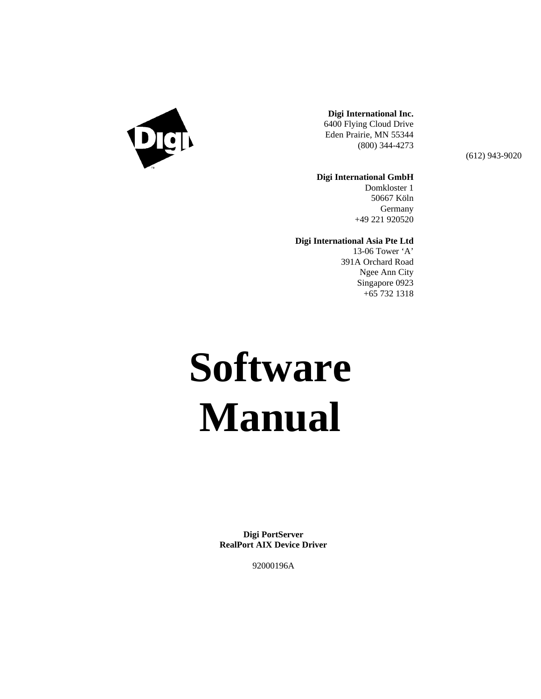

#### **Digi International Inc.** 6400 Flying Cloud Drive Eden Prairie, MN 55344 (800) 344-4273

(612) 943-9020

#### **Digi International GmbH**

Domkloster 1 50667 Köln **Germany** +49 221 920520

#### **Digi International Asia Pte Ltd**

13-06 Tower 'A' 391A Orchard Road Ngee Ann City Singapore 0923 +65 732 1318

# **Software Manual**

**Digi PortServer RealPort AIX Device Driver**

92000196A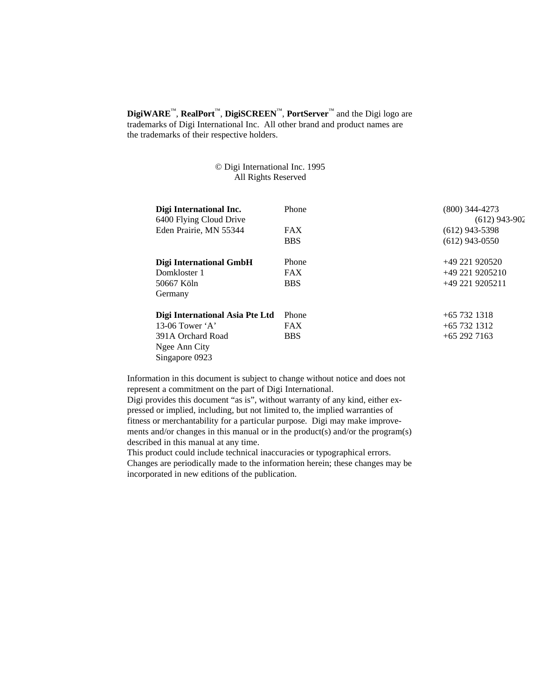**DigiWARE**™, **RealPort**™, **DigiSCREEN**™, **PortServer**™ and the Digi logo are trademarks of Digi International Inc. All other brand and product names are the trademarks of their respective holders.

#### © Digi International Inc. 1995 All Rights Reserved

| Digi International Inc.<br>6400 Flying Cloud Drive | Phone      | (800) 344-4273<br>$(612)$ 943-902 |
|----------------------------------------------------|------------|-----------------------------------|
| Eden Prairie, MN 55344                             | <b>FAX</b> | $(612)$ 943-5398                  |
|                                                    | <b>BBS</b> | $(612)$ 943-0550                  |
| Digi International GmbH                            | Phone      | $+49221920520$                    |
| Domkloster 1                                       | <b>FAX</b> | $+492219205210$                   |
| 50667 Köln                                         | <b>BBS</b> | $+49$ 221 9205211                 |
| Germany                                            |            |                                   |
| Digi International Asia Pte Ltd                    | Phone      | $+65$ 732 1318                    |
| 13-06 Tower $A$                                    | <b>FAX</b> | $+65$ 732 1312                    |
| 391A Orchard Road                                  | <b>BBS</b> | $+65$ 292 7163                    |
| Ngee Ann City                                      |            |                                   |
| Singapore 0923                                     |            |                                   |

Information in this document is subject to change without notice and does not represent a commitment on the part of Digi International.

Digi provides this document "as is", without warranty of any kind, either expressed or implied, including, but not limited to, the implied warranties of fitness or merchantability for a particular purpose. Digi may make improvements and/or changes in this manual or in the product(s) and/or the program(s) described in this manual at any time.

This product could include technical inaccuracies or typographical errors. Changes are periodically made to the information herein; these changes may be incorporated in new editions of the publication.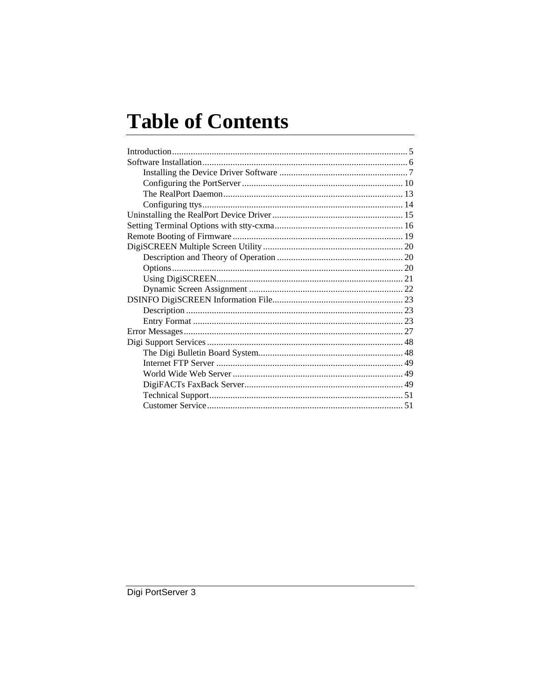# **Table of Contents**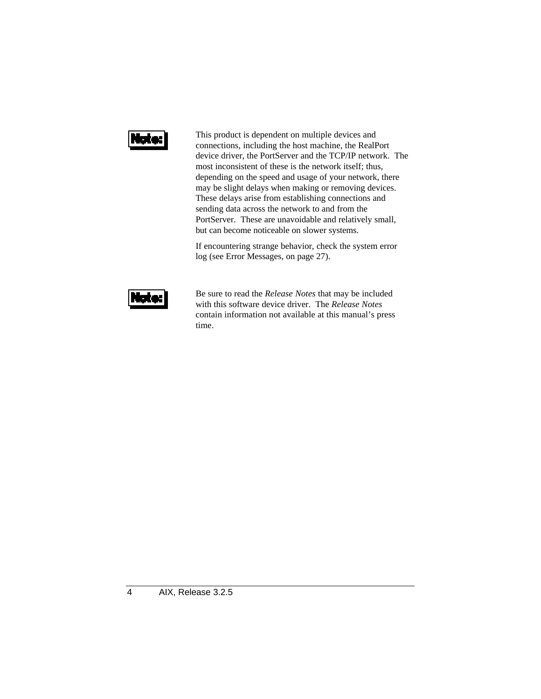# la el

This product is dependent on multiple devices and connections, including the host machine, the RealPort device driver, the PortServer and the TCP/IP network. The most inconsistent of these is the network itself; thus, depending on the speed and usage of your network, there may be slight delays when making or removing devices. These delays arise from establishing connections and sending data across the network to and from the PortServer. These are unavoidable and relatively small, but can become noticeable on slower systems.

If encountering strange behavior, check the system error log (see Error Messages, on page 27).



Be sure to read the *Release Notes* that may be included with this software device driver. The *Release Notes* contain information not available at this manual's press time.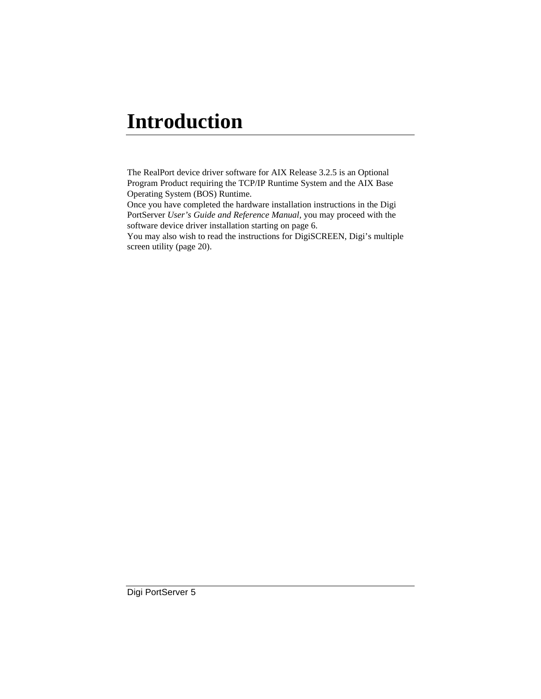# **Introduction**

The RealPort device driver software for AIX Release 3.2.5 is an Optional Program Product requiring the TCP/IP Runtime System and the AIX Base Operating System (BOS) Runtime.

Once you have completed the hardware installation instructions in the Digi PortServer *User's Guide and Reference Manual*, you may proceed with the software device driver installation starting on page 6.

You may also wish to read the instructions for DigiSCREEN, Digi's multiple screen utility (page 20).

Digi PortServer 5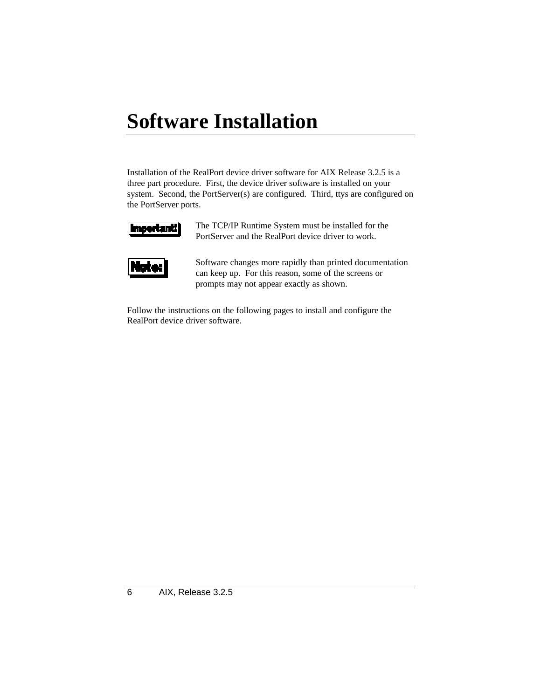# **Software Installation**

Installation of the RealPort device driver software for AIX Release 3.2.5 is a three part procedure. First, the device driver software is installed on your system. Second, the PortServer(s) are configured. Third, ttys are configured on the PortServer ports.



The TCP/IP Runtime System must be installed for the PortServer and the RealPort device driver to work.



Software changes more rapidly than printed documentation can keep up. For this reason, some of the screens or prompts may not appear exactly as shown.

Follow the instructions on the following pages to install and configure the RealPort device driver software.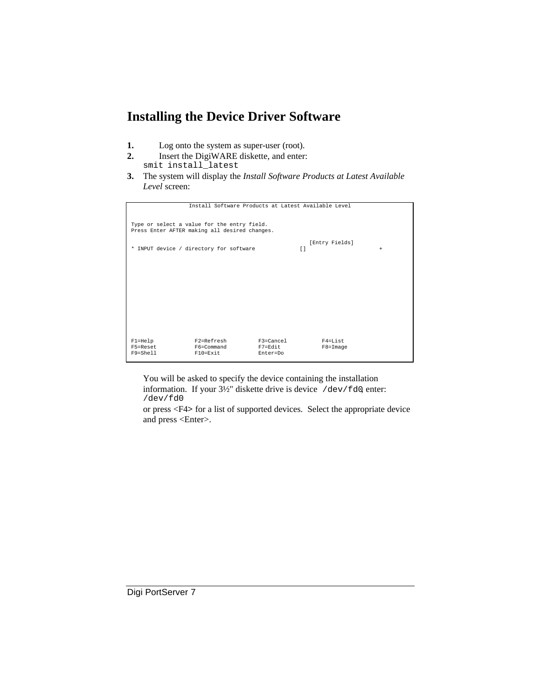### **Installing the Device Driver Software**

- **1.** Log onto the system as super-user (root).
- **2.** Insert the DigiWARE diskette, and enter: smit install\_latest
- **3.** The system will display the *Install Software Products at Latest Available Level* screen:

|              | Install Software Products at Latest Available Level |           |        |                      |        |
|--------------|-----------------------------------------------------|-----------|--------|----------------------|--------|
|              |                                                     |           |        |                      |        |
|              |                                                     |           |        |                      |        |
|              | Type or select a value for the entry field.         |           |        |                      |        |
|              | Press Enter AFTER making all desired changes.       |           |        |                      |        |
|              |                                                     |           |        |                      |        |
|              |                                                     |           |        |                      |        |
|              |                                                     |           |        | [Entry Fields]       |        |
|              | * INPUT device / directory for software             |           | $\Box$ |                      | $^{+}$ |
|              |                                                     |           |        |                      |        |
|              |                                                     |           |        |                      |        |
|              |                                                     |           |        |                      |        |
|              |                                                     |           |        |                      |        |
|              |                                                     |           |        |                      |        |
|              |                                                     |           |        |                      |        |
|              |                                                     |           |        |                      |        |
|              |                                                     |           |        |                      |        |
|              |                                                     |           |        |                      |        |
|              |                                                     |           |        |                      |        |
|              |                                                     |           |        |                      |        |
|              |                                                     |           |        |                      |        |
|              |                                                     |           |        |                      |        |
|              |                                                     |           |        |                      |        |
|              |                                                     |           |        |                      |        |
| $F1 = He1p$  | F2=Refresh                                          | F3=Cancel |        | $F4 = T \cdot i$ st. |        |
| F5=Reset     | F6=Command                                          | F7=Edit   |        | $F8 = Image$         |        |
| $F9 = Shel1$ | $F10 = Exit$                                        | Enter=Do  |        |                      |        |
|              |                                                     |           |        |                      |        |

You will be asked to specify the device containing the installation information. If your 3½" diskette drive is device /dev/fd0, enter: /dev/fd0

or press <F4**>** for a list of supported devices. Select the appropriate device and press <Enter>.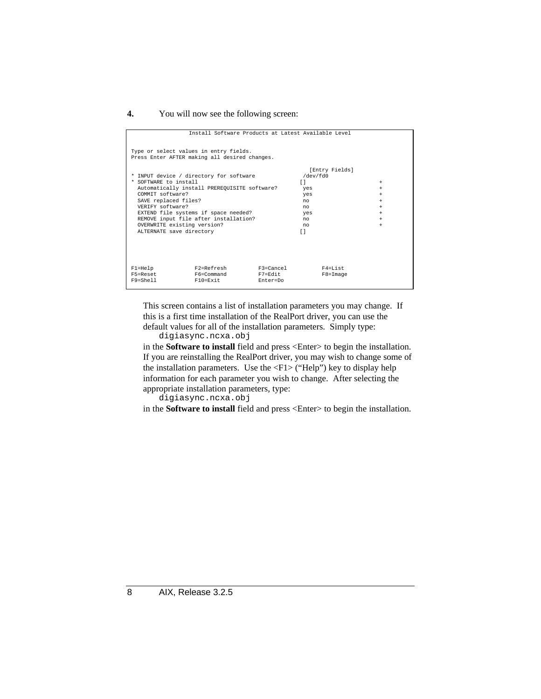#### **4.** You will now see the following screen:

| Install Software Products at Latest Available Level                                     |           |                            |           |
|-----------------------------------------------------------------------------------------|-----------|----------------------------|-----------|
| Type or select values in entry fields.<br>Press Enter AFTER making all desired changes. |           |                            |           |
| * INPUT device / directory for software                                                 |           | [Entry Fields]<br>/dev/fd0 |           |
| * SOFTWARE to install                                                                   |           | Γl                         | $^{+}$    |
| Automatically install PREREQUISITE software?                                            |           | yes                        | $^{+}$    |
| COMMIT software?                                                                        |           | yes                        | $^{+}$    |
| SAVE replaced files?                                                                    |           | no                         | $^{+}$    |
| VERTEY software?                                                                        |           | no                         | $^{+}$    |
| EXTEND file systems if space needed?                                                    |           | yes                        | $+$       |
| REMOVE input file after installation?                                                   |           | no                         | $+$       |
| OVERWRITE existing version?                                                             |           | no                         | $\ddot{}$ |
| ALTERNATE save directory                                                                |           | Γl                         |           |
|                                                                                         |           |                            |           |
|                                                                                         |           |                            |           |
|                                                                                         |           |                            |           |
|                                                                                         |           |                            |           |
|                                                                                         |           |                            |           |
| F2=Refresh<br>$F1 = He1p$                                                               | F3=Cancel | F4=List                    |           |
| F5=Reset<br>F6=Command                                                                  | F7=Edit   | $F8 = Image$               |           |
| F10=Exit<br>F9=Shell                                                                    | Enter=Do  |                            |           |

This screen contains a list of installation parameters you may change. If this is a first time installation of the RealPort driver, you can use the default values for all of the installation parameters. Simply type: digiasync.ncxa.obj

in the **Software to install** field and press <Enter> to begin the installation. If you are reinstalling the RealPort driver, you may wish to change some of the installation parameters. Use the <F1> ("Help") key to display help information for each parameter you wish to change. After selecting the appropriate installation parameters, type:

digiasync.ncxa.obj

in the **Software to install** field and press <Enter> to begin the installation.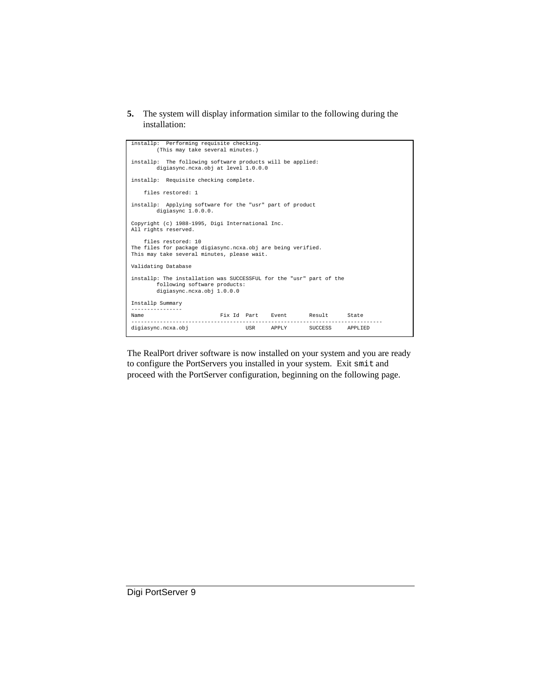**5.** The system will display information similar to the following during the installation:

| installp: Performing requisite checking.<br>(This may take several minutes.)                                                      |  |  |  |
|-----------------------------------------------------------------------------------------------------------------------------------|--|--|--|
| installp: The following software products will be applied:<br>digiasync.ncxa.obj at level 1.0.0.0                                 |  |  |  |
| installp: Requisite checking complete.                                                                                            |  |  |  |
| files restored: 1                                                                                                                 |  |  |  |
| installp: Applying software for the "usr" part of product<br>digiasync 1.0.0.0.                                                   |  |  |  |
| Copyright (c) 1988-1995, Digi International Inc.<br>All rights reserved.                                                          |  |  |  |
| files restored: 10<br>The files for package digiasync.ncxa.obj are being verified.<br>This may take several minutes, please wait. |  |  |  |
| Validating Database                                                                                                               |  |  |  |
| installp: The installation was SUCCESSFUL for the "usr" part of the<br>following software products:<br>digiasync.ncxa.obj 1.0.0.0 |  |  |  |
| Installp Summary                                                                                                                  |  |  |  |
| Fix Id Part Event Result State<br>Name                                                                                            |  |  |  |
| digiasync.ncxa.obj<br>USR APPLY SUCCESS APPLIED                                                                                   |  |  |  |

The RealPort driver software is now installed on your system and you are ready to configure the PortServers you installed in your system. Exit smit and proceed with the PortServer configuration, beginning on the following page.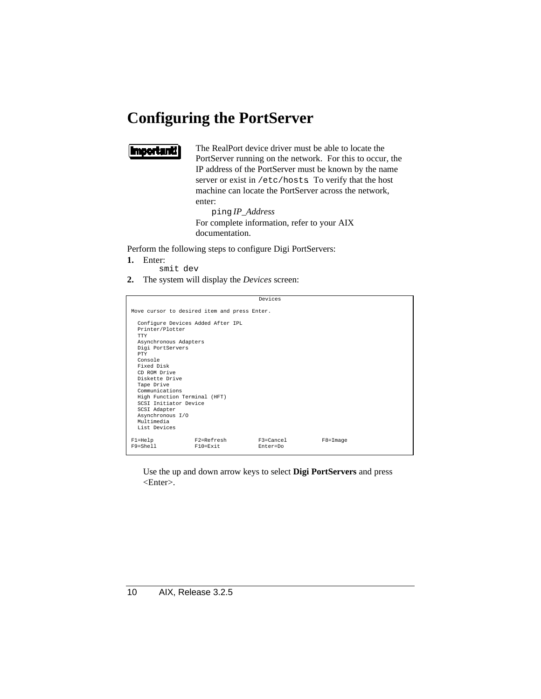# **Configuring the PortServer**

### **Important**

The RealPort device driver must be able to locate the PortServer running on the network. For this to occur, the IP address of the PortServer must be known by the name server or exist in /etc/hosts. To verify that the host machine can locate the PortServer across the network, enter:

ping *IP\_Address* For complete information, refer to your AIX documentation.

Perform the following steps to configure Digi PortServers:

- **1.** Enter:
	- smit dev
- **2.** The system will display the *Devices* screen:

|                                                                                                                                                                                                                                                                                                                                              |                                              | Devices                   |              |
|----------------------------------------------------------------------------------------------------------------------------------------------------------------------------------------------------------------------------------------------------------------------------------------------------------------------------------------------|----------------------------------------------|---------------------------|--------------|
|                                                                                                                                                                                                                                                                                                                                              | Move cursor to desired item and press Enter. |                           |              |
| Configure Devices Added After IPL<br>Printer/Plotter<br>TTY<br>Asynchronous Adapters<br>Digi PortServers<br><b>PTY</b><br>Console<br>Fixed Disk<br>CD ROM Drive<br>Diskette Drive<br>Tape Drive<br>Communications<br>High Function Terminal (HFT)<br>SCST Initiator Device<br>SCSI Adapter<br>Asynchronous I/O<br>Multimedia<br>List Devices |                                              |                           |              |
| $F1 = He1p$<br>$F9 = Shel1$                                                                                                                                                                                                                                                                                                                  | F2=Refresh<br>$F10 = Exit$                   | $F3 = Cancel$<br>Enter=Do | $F8 = Image$ |

Use the up and down arrow keys to select **Digi PortServers** and press <Enter>.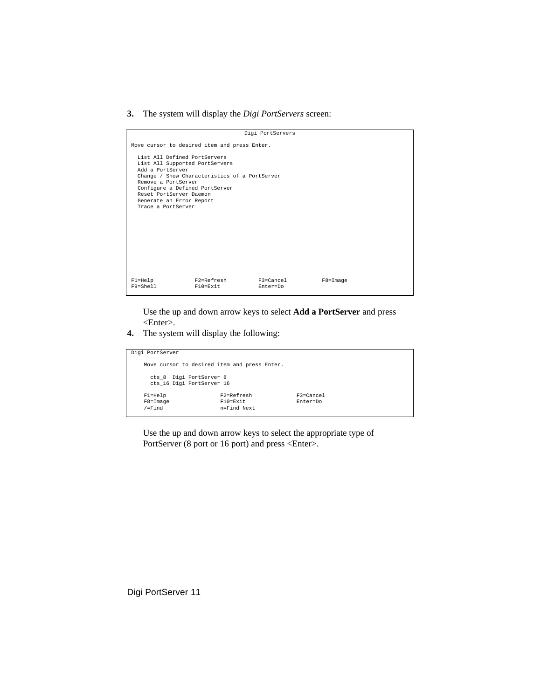#### **3.** The system will display the *Digi PortServers* screen:

|                                                                                                                                                                                                                          |                                               | Digi PortServers      |              |
|--------------------------------------------------------------------------------------------------------------------------------------------------------------------------------------------------------------------------|-----------------------------------------------|-----------------------|--------------|
|                                                                                                                                                                                                                          | Move cursor to desired item and press Enter.  |                       |              |
| List All Defined PortServers<br>List All Supported PortServers<br>Add a PortServer<br>Remove a PortServer<br>Configure a Defined PortServer<br>Reset PortServer Daemon<br>Generate an Error Report<br>Trace a PortServer | Change / Show Characteristics of a PortServer |                       |              |
|                                                                                                                                                                                                                          |                                               |                       |              |
|                                                                                                                                                                                                                          |                                               |                       |              |
| $F1 = He1p$<br>$F9 = Shel1$                                                                                                                                                                                              | F2=Refresh<br>$F10 = Exit$                    | F3=Cancel<br>Enter=Do | $F8 = Image$ |

Use the up and down arrow keys to select **Add a PortServer** and press <Enter>.

**4.** The system will display the following:

| Digi PortServer                              |                |               |
|----------------------------------------------|----------------|---------------|
|                                              |                |               |
| Move cursor to desired item and press Enter. |                |               |
|                                              |                |               |
|                                              |                |               |
| cts 8 Digi PortServer 8                      |                |               |
| cts 16 Digi PortServer 16                    |                |               |
|                                              |                |               |
| $F1 = He1p$                                  | $F2 = Refresh$ | $F3 = Cancel$ |
| $F8 = Image$                                 | $F10 = Exit$   | Enter=Do      |
| $/$ =Find                                    | n=Find Next    |               |
|                                              |                |               |
|                                              |                |               |

Use the up and down arrow keys to select the appropriate type of PortServer (8 port or 16 port) and press <Enter>.

Digi PortServer 11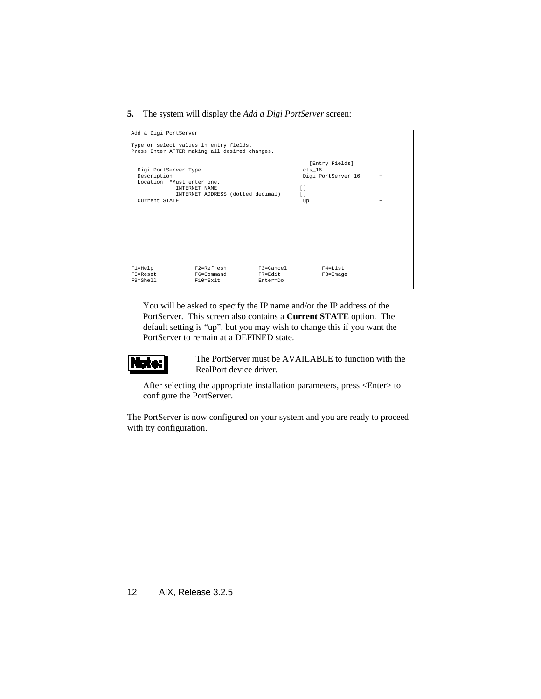#### **5.** The system will display the *Add a Digi PortServer* screen:

| Add a Digi PortServer     |                                               |           |                    |     |
|---------------------------|-----------------------------------------------|-----------|--------------------|-----|
|                           |                                               |           |                    |     |
|                           | Type or select values in entry fields.        |           |                    |     |
|                           | Press Enter AFTER making all desired changes. |           |                    |     |
|                           |                                               |           |                    |     |
|                           |                                               |           | [Entry Fields]     |     |
| Digi PortServer Type      |                                               |           | cts 16             |     |
| Description               |                                               |           | Digi PortServer 16 | $+$ |
| Location *Must enter one. |                                               |           |                    |     |
|                           | <b>INTERNET NAME</b>                          |           | $\Box$             |     |
|                           | INTERNET ADDRESS (dotted decimal)             |           | $\Box$             |     |
| Current STATE             |                                               |           | up                 | $+$ |
|                           |                                               |           |                    |     |
|                           |                                               |           |                    |     |
|                           |                                               |           |                    |     |
|                           |                                               |           |                    |     |
|                           |                                               |           |                    |     |
|                           |                                               |           |                    |     |
|                           |                                               |           |                    |     |
|                           |                                               |           |                    |     |
|                           |                                               |           |                    |     |
|                           |                                               |           |                    |     |
| $F1 = He1p$               | F2=Refresh                                    | F3=Cancel | F4=List            |     |
| F5=Reset<br>F9=Shell      | F6=Command<br>$F10 = Exit$                    | F7=Edit   | $F8 = Image$       |     |
|                           |                                               | Enter=Do  |                    |     |

You will be asked to specify the IP name and/or the IP address of the PortServer. This screen also contains a **Current STATE** option. The default setting is "up", but you may wish to change this if you want the PortServer to remain at a DEFINED state.



The PortServer must be AVAILABLE to function with the RealPort device driver.

After selecting the appropriate installation parameters, press <Enter> to configure the PortServer.

The PortServer is now configured on your system and you are ready to proceed with tty configuration.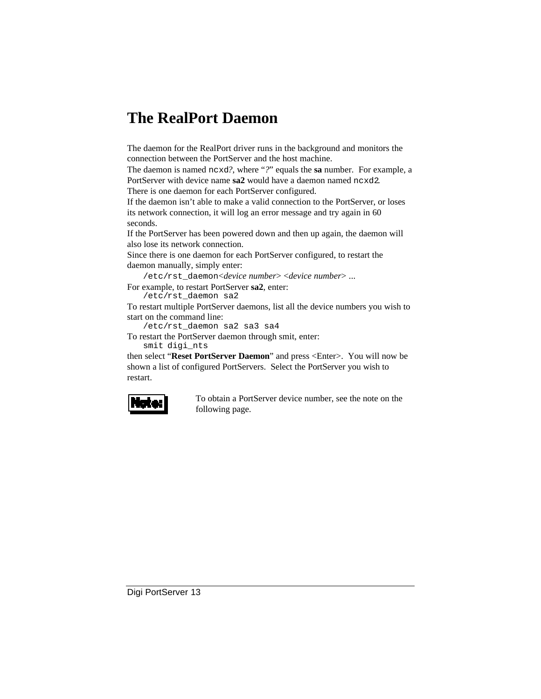# **The RealPort Daemon**

The daemon for the RealPort driver runs in the background and monitors the connection between the PortServer and the host machine.

The daemon is named ncxd*?*, where "*?*" equals the **sa** number. For example, a PortServer with device name **sa2** would have a daemon named ncxd2. There is one daemon for each PortServer configured.

If the daemon isn't able to make a valid connection to the PortServer, or loses its network connection, it will log an error message and try again in 60 seconds.

If the PortServer has been powered down and then up again, the daemon will also lose its network connection.

Since there is one daemon for each PortServer configured, to restart the daemon manually, simply enter:

/etc/rst\_daemon <*device number*> <*device number*> ...

For example, to restart PortServer **sa2**, enter:

/etc/rst\_daemon sa2

To restart multiple PortServer daemons, list all the device numbers you wish to start on the command line:

/etc/rst\_daemon sa2 sa3 sa4

To restart the PortServer daemon through smit, enter: smit digi\_nts

then select "**Reset PortServer Daemon**" and press <Enter>. You will now be shown a list of configured PortServers. Select the PortServer you wish to restart.



To obtain a PortServer device number, see the note on the following page.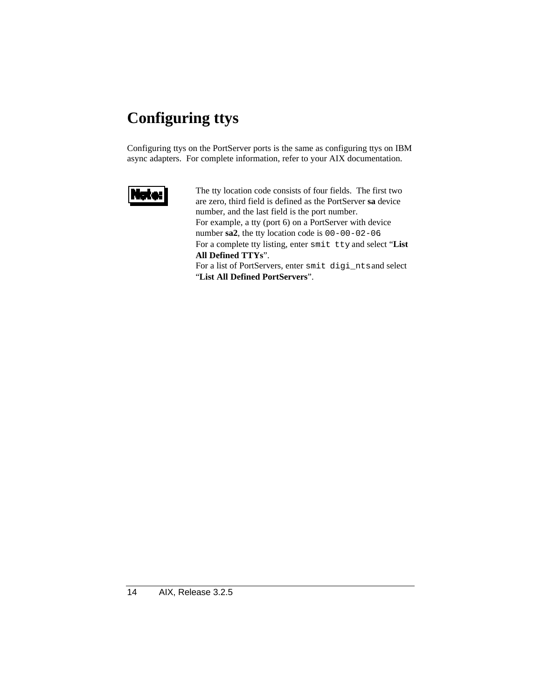# **Configuring ttys**

Configuring ttys on the PortServer ports is the same as configuring ttys on IBM async adapters. For complete information, refer to your AIX documentation.



The tty location code consists of four fields. The first two are zero, third field is defined as the PortServer **sa** device number, and the last field is the port number. For example, a tty (port 6) on a PortServer with device number **sa2**, the tty location code is 00-00-02-06. For a complete tty listing, enter smit tty and select "**List All Defined TTYs**". For a list of PortServers, enter smit digi\_nts and select "**List All Defined PortServers**".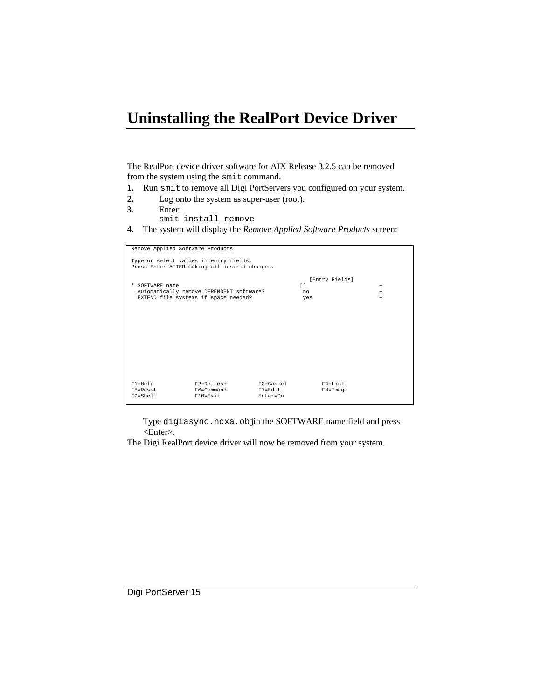# **Uninstalling the RealPort Device Driver**

The RealPort device driver software for AIX Release 3.2.5 can be removed from the system using the smit command.

- **1.** Run smit to remove all Digi PortServers you configured on your system.
- **2.** Log onto the system as super-user (root).
- **3.** Enter:
- smit install\_remove
- **4.** The system will display the *Remove Applied Software Products* screen:

| Remove Applied Software Products |                                                                                         |                     |        |                |        |
|----------------------------------|-----------------------------------------------------------------------------------------|---------------------|--------|----------------|--------|
|                                  | Type or select values in entry fields.<br>Press Enter AFTER making all desired changes. |                     |        |                |        |
|                                  |                                                                                         |                     |        | [Entry Fields] |        |
| * SOFTWARE name                  |                                                                                         |                     | $\Box$ |                | $^{+}$ |
|                                  | Automatically remove DEPENDENT software?                                                |                     | no     |                | $+$    |
|                                  | EXTEND file systems if space needed?                                                    |                     | yes    |                | $+$    |
|                                  |                                                                                         |                     |        |                |        |
| $F1 = He1p$                      | F2=Refresh                                                                              | F3=Cancel           |        | F4=List        |        |
| F5=Reset<br>F9=Shell             | F6=Command<br>$F10 = Exit$                                                              | F7=Edit<br>Enter=Do |        | $F8 = Image$   |        |

Type digiasync.ncxa.objin the SOFTWARE name field and press <Enter>.

The Digi RealPort device driver will now be removed from your system.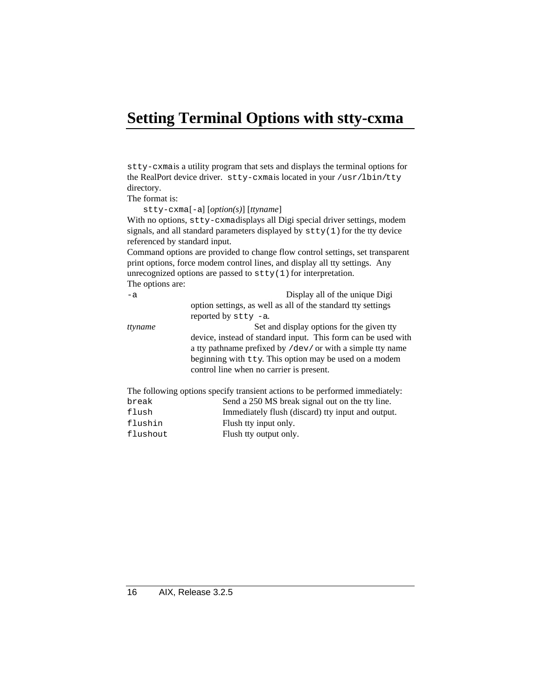# **Setting Terminal Options with stty-cxma**

stty-cxma is a utility program that sets and displays the terminal options for the RealPort device driver. stty-cxma is located in your /usr/lbin/tty directory.

The format is:

stty-cxma [-a] [*option(s)*] [*ttyname*]

flushin Flush tty input only. flushout Flush tty output only.

With no options, stty-cxmadisplays all Digi special driver settings, modem signals, and all standard parameters displayed by  $\text{stty}(1)$  for the tty device referenced by standard input.

Command options are provided to change flow control settings, set transparent print options, force modem control lines, and display all tty settings. Any unrecognized options are passed to  $\text{stty}(1)$  for interpretation. The options are:

-a Display all of the unique Digi option settings, as well as all of the standard tty settings reported by stty -a. *ttyname* Set and display options for the given tty device, instead of standard input. This form can be used with a tty pathname prefixed by /dev/ or with a simple tty name beginning with tty. This option may be used on a modem control line when no carrier is present. The following options specify transient actions to be performed immediately: break Send a 250 MS break signal out on the tty line. flush Immediately flush (discard) tty input and output.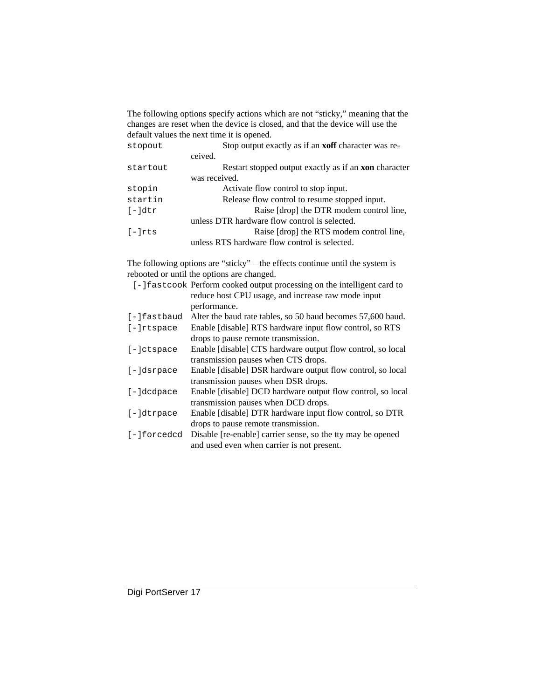The following options specify actions which are not "sticky," meaning that the changes are reset when the device is closed, and that the device will use the default values the next time it is opened.

| stopout   | Stop output exactly as if an <b>xoff</b> character was re-   |
|-----------|--------------------------------------------------------------|
|           | ceived.                                                      |
| startout  | Restart stopped output exactly as if an <b>xon</b> character |
|           | was received.                                                |
| stopin    | Activate flow control to stop input.                         |
| startin   | Release flow control to resume stopped input.                |
| [-]dtr    | Raise [drop] the DTR modem control line,                     |
|           | unless DTR hardware flow control is selected.                |
| $[-]$ rts | Raise [drop] the RTS modem control line,                     |
|           | unless RTS hardware flow control is selected.                |

The following options are "sticky"—the effects continue until the system is rebooted or until the options are changed.

|               | [-] fastcook Perform cooked output processing on the intelligent card to |
|---------------|--------------------------------------------------------------------------|
|               | reduce host CPU usage, and increase raw mode input                       |
|               | performance.                                                             |
| [-]fastbaud   | Alter the baud rate tables, so 50 baud becomes 57,600 baud.              |
| $[-]$ rtspace | Enable [disable] RTS hardware input flow control, so RTS                 |
|               | drops to pause remote transmission.                                      |
| $[-]ctspace$  | Enable [disable] CTS hardware output flow control, so local              |
|               | transmission pauses when CTS drops.                                      |
| [-]dsrpace    | Enable [disable] DSR hardware output flow control, so local              |
|               | transmission pauses when DSR drops.                                      |
| $[-]$ dcdpace | Enable [disable] DCD hardware output flow control, so local              |
|               | transmission pauses when DCD drops.                                      |
| $[-]dt$ rpace | Enable [disable] DTR hardware input flow control, so DTR                 |
|               | drops to pause remote transmission.                                      |
| [-]forcedcd   | Disable [re-enable] carrier sense, so the tty may be opened              |
|               | and used even when carrier is not present.                               |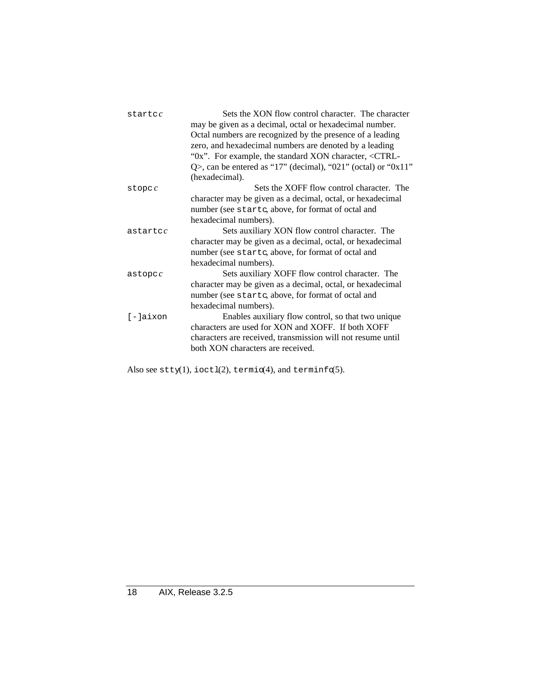| $\texttt{startc}$ | Sets the XON flow control character. The character                     |  |
|-------------------|------------------------------------------------------------------------|--|
|                   | may be given as a decimal, octal or hexadecimal number.                |  |
|                   | Octal numbers are recognized by the presence of a leading              |  |
|                   | zero, and hexadecimal numbers are denoted by a leading                 |  |
|                   | "0x". For example, the standard XON character, <ctrl-< td=""></ctrl-<> |  |
|                   | Q>, can be entered as "17" (decimal), "021" (octal) or "0x11"          |  |
|                   | (hexadecimal).                                                         |  |
| store c           | Sets the XOFF flow control character. The                              |  |
|                   | character may be given as a decimal, octal, or hexadecimal             |  |
|                   | number (see startc, above, for format of octal and                     |  |
|                   | hexadecimal numbers).                                                  |  |
| $a$ startc $c$    | Sets auxiliary XON flow control character. The                         |  |
|                   | character may be given as a decimal, octal, or hexadecimal             |  |
|                   | number (see startc, above, for format of octal and                     |  |
|                   | hexadecimal numbers).                                                  |  |
| astropcc          | Sets auxiliary XOFF flow control character. The                        |  |
|                   | character may be given as a decimal, octal, or hexadecimal             |  |
|                   | number (see startc, above, for format of octal and                     |  |
|                   | hexadecimal numbers).                                                  |  |
| $[-]a$ ixon       | Enables auxiliary flow control, so that two unique                     |  |
|                   | characters are used for XON and XOFF. If both XOFF                     |  |
|                   | characters are received, transmission will not resume until            |  |
|                   | both XON characters are received.                                      |  |
|                   |                                                                        |  |

Also see stty(1), ioctl(2), termio(4), and terminfo(5).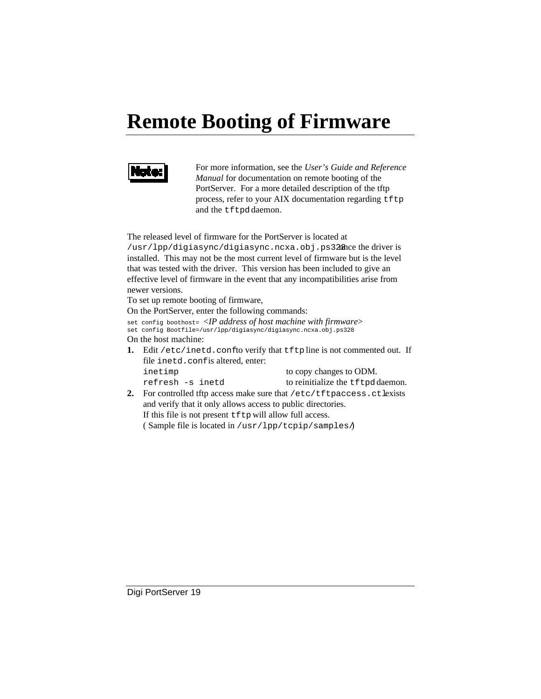# **Remote Booting of Firmware**



For more information, see the *User's Guide and Reference Manual* for documentation on remote booting of the PortServer. For a more detailed description of the tftp process, refer to your AIX documentation regarding tftp and the tftpd daemon.

The released level of firmware for the PortServer is located at /usr/lpp/digiasync/digiasync.ncxa.obj.ps328 nce the driver is installed. This may not be the most current level of firmware but is the level that was tested with the driver. This version has been included to give an effective level of firmware in the event that any incompatibilities arise from newer versions.

To set up remote booting of firmware,

On the PortServer, enter the following commands:

set config boothost= <*IP address of host machine with firmware*>

set config Bootfile=/usr/lpp/digiasync/digiasync.ncxa.obj.ps328

On the host machine:

**1.** Edit /etc/inetd.conf to verify that tftp line is not commented out. If file inetd.conf is altered, enter:

inetimp to copy changes to ODM. refresh -s inetd to reinitialize the tftpd daemon.

**2.** For controlled tftp access make sure that /etc/tftpaccess.ctlexists and verify that it only allows access to public directories. If this file is not present  $tftp$  will allow full access.

( Sample file is located in /usr/lpp/tcpip/samples/ )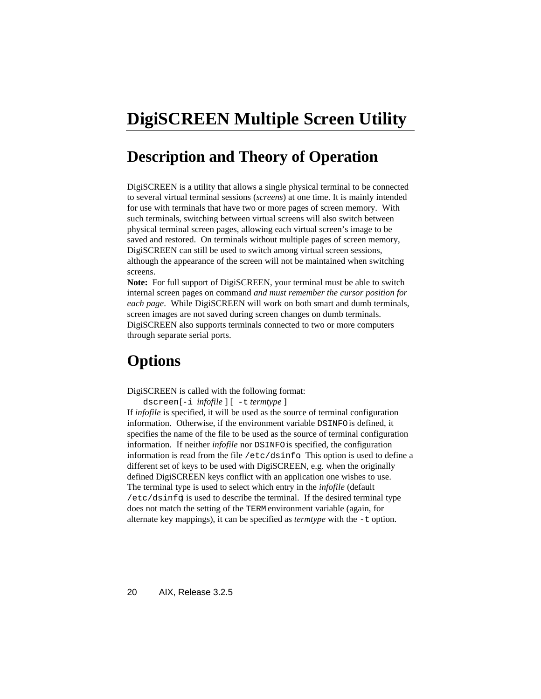# **DigiSCREEN Multiple Screen Utility**

# **Description and Theory of Operation**

DigiSCREEN is a utility that allows a single physical terminal to be connected to several virtual terminal sessions (*screens*) at one time. It is mainly intended for use with terminals that have two or more pages of screen memory. With such terminals, switching between virtual screens will also switch between physical terminal screen pages, allowing each virtual screen's image to be saved and restored. On terminals without multiple pages of screen memory, DigiSCREEN can still be used to switch among virtual screen sessions, although the appearance of the screen will not be maintained when switching screens.

**Note:** For full support of DigiSCREEN, your terminal must be able to switch internal screen pages on command *and must remember the cursor position for each page*. While DigiSCREEN will work on both smart and dumb terminals, screen images are not saved during screen changes on dumb terminals. DigiSCREEN also supports terminals connected to two or more computers through separate serial ports.

# **Options**

DigiSCREEN is called with the following format:

dscreen [-i *infofile* ] [ -t *termtype* ]

If *infofile* is specified, it will be used as the source of terminal configuration information. Otherwise, if the environment variable DSINFO is defined, it specifies the name of the file to be used as the source of terminal configuration information. If neither *infofile* nor DSINFO is specified, the configuration information is read from the file /etc/dsinfo. This option is used to define a different set of keys to be used with DigiSCREEN, e.g. when the originally defined DigiSCREEN keys conflict with an application one wishes to use. The terminal type is used to select which entry in the *infofile* (default  $/etc$ /dsinfo) is used to describe the terminal. If the desired terminal type does not match the setting of the TERM environment variable (again, for alternate key mappings), it can be specified as *termtype* with the -t option.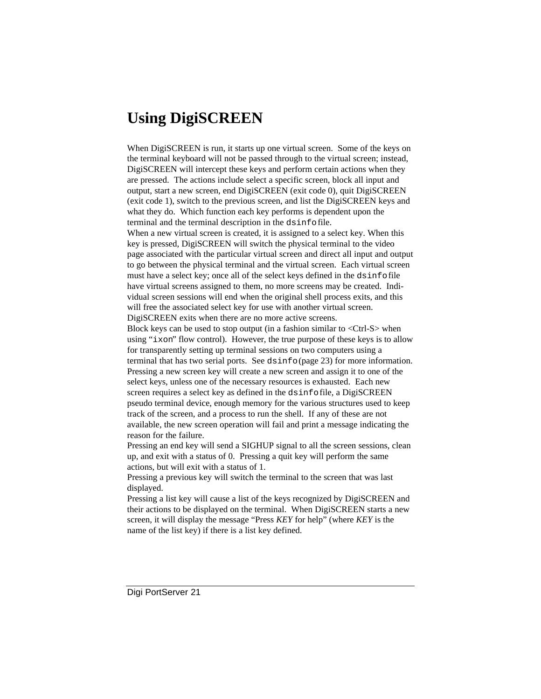### **Using DigiSCREEN**

When DigiSCREEN is run, it starts up one virtual screen. Some of the keys on the terminal keyboard will not be passed through to the virtual screen; instead, DigiSCREEN will intercept these keys and perform certain actions when they are pressed. The actions include select a specific screen, block all input and output, start a new screen, end DigiSCREEN (exit code 0), quit DigiSCREEN (exit code 1), switch to the previous screen, and list the DigiSCREEN keys and what they do. Which function each key performs is dependent upon the terminal and the terminal description in the dsinfo file. When a new virtual screen is created, it is assigned to a select key. When this key is pressed, DigiSCREEN will switch the physical terminal to the video page associated with the particular virtual screen and direct all input and output to go between the physical terminal and the virtual screen. Each virtual screen must have a select key; once all of the select keys defined in the dsinfo file have virtual screens assigned to them, no more screens may be created. Individual screen sessions will end when the original shell process exits, and this will free the associated select key for use with another virtual screen. DigiSCREEN exits when there are no more active screens. Block keys can be used to stop output (in a fashion similar to  $\langle$ Ctrl-S $>$  when using "ixon" flow control). However, the true purpose of these keys is to allow for transparently setting up terminal sessions on two computers using a terminal that has two serial ports. See dsinfo (page 23) for more information. Pressing a new screen key will create a new screen and assign it to one of the select keys, unless one of the necessary resources is exhausted. Each new screen requires a select key as defined in the dsinfo file, a DigiSCREEN pseudo terminal device, enough memory for the various structures used to keep track of the screen, and a process to run the shell. If any of these are not available, the new screen operation will fail and print a message indicating the reason for the failure.

Pressing an end key will send a SIGHUP signal to all the screen sessions, clean up, and exit with a status of 0. Pressing a quit key will perform the same actions, but will exit with a status of 1.

Pressing a previous key will switch the terminal to the screen that was last displayed.

Pressing a list key will cause a list of the keys recognized by DigiSCREEN and their actions to be displayed on the terminal. When DigiSCREEN starts a new screen, it will display the message "Press *KEY* for help" (where *KEY* is the name of the list key) if there is a list key defined.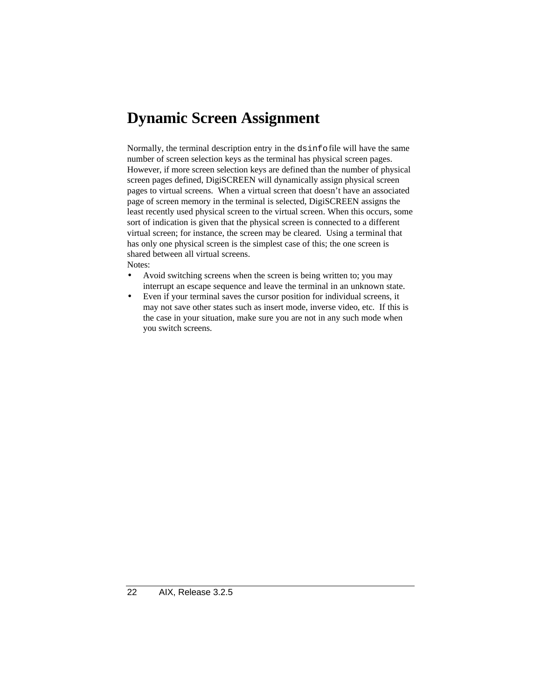# **Dynamic Screen Assignment**

Normally, the terminal description entry in the dsinfo file will have the same number of screen selection keys as the terminal has physical screen pages. However, if more screen selection keys are defined than the number of physical screen pages defined, DigiSCREEN will dynamically assign physical screen pages to virtual screens. When a virtual screen that doesn't have an associated page of screen memory in the terminal is selected, DigiSCREEN assigns the least recently used physical screen to the virtual screen. When this occurs, some sort of indication is given that the physical screen is connected to a different virtual screen; for instance, the screen may be cleared. Using a terminal that has only one physical screen is the simplest case of this; the one screen is shared between all virtual screens. Notes:

- Avoid switching screens when the screen is being written to; you may interrupt an escape sequence and leave the terminal in an unknown state.
- Even if your terminal saves the cursor position for individual screens, it may not save other states such as insert mode, inverse video, etc. If this is the case in your situation, make sure you are not in any such mode when you switch screens.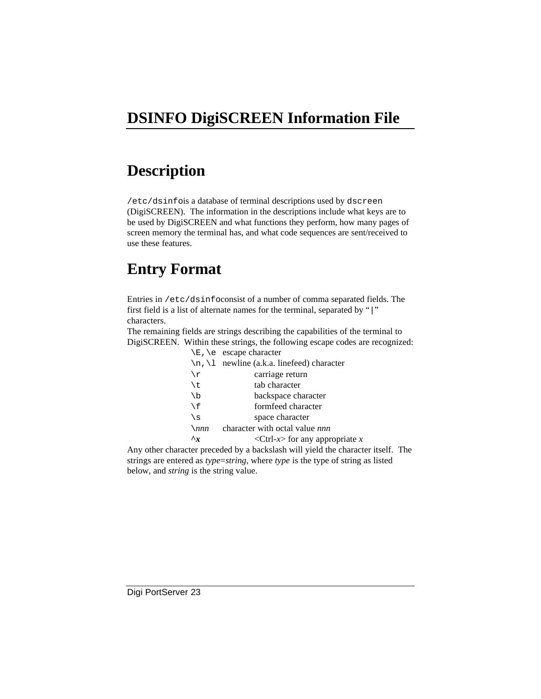# **DSINFO DigiSCREEN Information File**

### **Description**

/etc/dsinfois a database of terminal descriptions used by dscreen (DigiSCREEN). The information in the descriptions include what keys are to be used by DigiSCREEN and what functions they perform, how many pages of screen memory the terminal has, and what code sequences are sent/received to use these features.

# **Entry Format**

Entries in /etc/dsinfoconsist of a number of comma separated fields. The first field is a list of alternate names for the terminal, separated by "|" characters.

The remaining fields are strings describing the capabilities of the terminal to DigiSCREEN. Within these strings, the following escape codes are recognized:

|               | $\E$ , $\e$ escape character                                         |  |
|---------------|----------------------------------------------------------------------|--|
|               | $\n\langle n, \langle 1 \rangle$ newline (a.k.a. linefeed) character |  |
| $\chi$        | carriage return                                                      |  |
| \t            | tab character                                                        |  |
| $\setminus b$ | backspace character                                                  |  |
| $\setminus f$ | formfeed character                                                   |  |
| \s            | space character                                                      |  |
| $\sum$        | character with octal value nnn                                       |  |
| $\mathbf{r}$  | <ctrl-<math>x&gt; for any appropriate <math>x</math></ctrl-<math>    |  |

Any other character preceded by a backslash will yield the character itself. The strings are entered as *type*=*string*, where *type* is the type of string as listed below, and *string* is the string value.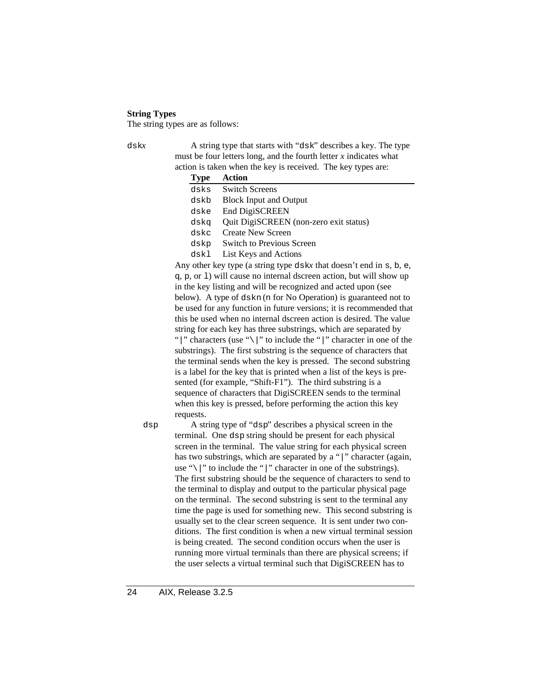#### **String Types**

The string types are as follows:

dskx A string type that starts with "dsk" describes a key. The type must be four letters long, and the fourth letter  $x$  indicates what action is taken when the key is received. The key types are:

| <b>Type</b> | Action                                 |
|-------------|----------------------------------------|
| dsks        | <b>Switch Screens</b>                  |
| dskb        | <b>Block Input and Output</b>          |
| dske        | <b>End DigiSCREEN</b>                  |
| dska        | Quit DigiSCREEN (non-zero exit status) |
| dskc        | Create New Screen                      |
| dskp        | <b>Switch to Previous Screen</b>       |
| dskl        | List Keys and Actions                  |

Any other key type (a string type dsk*x* that doesn't end in s, b, e, q, p, or l) will cause no internal dscreen action, but will show up in the key listing and will be recognized and acted upon (see below). A type of dskn (n for No Operation) is guaranteed not to be used for any function in future versions; it is recommended that this be used when no internal dscreen action is desired. The value string for each key has three substrings, which are separated by "|" characters (use " $\setminus$ |" to include the "|" character in one of the substrings). The first substring is the sequence of characters that the terminal sends when the key is pressed. The second substring is a label for the key that is printed when a list of the keys is presented (for example, "Shift-F1"). The third substring is a sequence of characters that DigiSCREEN sends to the terminal when this key is pressed, before performing the action this key requests.

dsp A string type of "dsp" describes a physical screen in the terminal. One dsp string should be present for each physical screen in the terminal. The value string for each physical screen has two substrings, which are separated by a "|" character (again, use " $\|\cdot\|$ " to include the "|" character in one of the substrings). The first substring should be the sequence of characters to send to the terminal to display and output to the particular physical page on the terminal. The second substring is sent to the terminal any time the page is used for something new. This second substring is usually set to the clear screen sequence. It is sent under two conditions. The first condition is when a new virtual terminal session is being created. The second condition occurs when the user is running more virtual terminals than there are physical screens; if the user selects a virtual terminal such that DigiSCREEN has to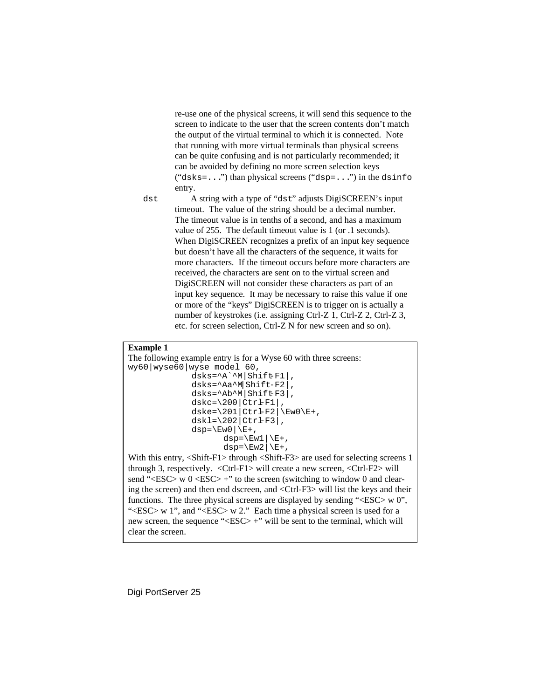re-use one of the physical screens, it will send this sequence to the screen to indicate to the user that the screen contents don't match the output of the virtual terminal to which it is connected. Note that running with more virtual terminals than physical screens can be quite confusing and is not particularly recommended; it can be avoided by defining no more screen selection keys  $("dsks=...")$  than physical screens  $("dsp=...")$  in the dsinfo entry.

dst A string with a type of "dst" adjusts DigiSCREEN's input timeout. The value of the string should be a decimal number. The timeout value is in tenths of a second, and has a maximum value of 255. The default timeout value is 1 (or .1 seconds). When DigiSCREEN recognizes a prefix of an input key sequence but doesn't have all the characters of the sequence, it waits for more characters. If the timeout occurs before more characters are received, the characters are sent on to the virtual screen and DigiSCREEN will not consider these characters as part of an input key sequence. It may be necessary to raise this value if one or more of the "keys" DigiSCREEN is to trigger on is actually a number of keystrokes (i.e. assigning Ctrl-Z 1, Ctrl-Z 2, Ctrl-Z 3, etc. for screen selection, Ctrl-Z N for new screen and so on).

#### **Example 1**

```
The following example entry is for a Wyse 60 with three screens:
wy60|wyse60|wyse model 60,
                 dsks=^A`^M|Shift-F1|,
                 dsks=^Aa^M|Shift-F2|,
                 dsks=^Ab^M|Shift-F3|,
                dskc=\200|ctrF1|,
                dske=\201|CtrF2|\Eve0\E+,
                dskl=\202|ctrF3|,
                dsp=\E{w0}|\E{+},
                        dsp=\E{w1}\right|\E{+},
                        dsp=\E{w2}\right|\E{+},
With this entry, \langleShift-F1> through \langleShift-F3> are used for selecting screens 1
```
through 3, respectively.  $\langle$ Ctrl-F1 $>$  will create a new screen,  $\langle$ Ctrl-F2 $>$  will send "<ESC> w  $0$  <ESC> +" to the screen (switching to window 0 and clearing the screen) and then end dscreen, and <Ctrl-F3> will list the keys and their functions. The three physical screens are displayed by sending "<ESC> w 0", " $\langle$ ESC $>$  w 1", and " $\langle$ ESC $>$  w 2." Each time a physical screen is used for a new screen, the sequence "<ESC> +" will be sent to the terminal, which will clear the screen.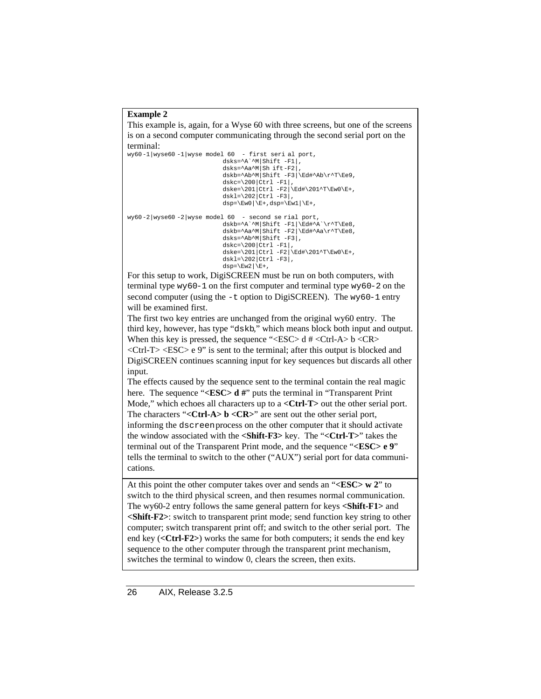#### **Example 2**

This example is, again, for a Wyse 60 with three screens, but one of the screens is on a second computer communicating through the second serial port on the terminal:

```
wy60-1|wyse60 -1|wyse model 60 - first seri al port,
                               dsks=^A`^M|Shift -F1|,
                               dsks=^Aa^M|Sh ift-F2|,
                               dskb=^Ab^M|Shift -F3|\Ed#^Ab\r^T\Ee9,
                               dskc=\200|ctrl -F1|,
                               dske=\201|Ctrl -F2|\Ed#\201^T\Ew0\E+,
                               dskl=\202|Ctrl - F3|,
                               \text{disp}=\E{w0}|\E{+},\text{disp}=\E{w1}|\E{+},wy60-2|wyse60-2|wyse model 60 - second se rial port,dskb=^A`^M|Shift -F1|\Ed#^A`\r^T\Ee8,
dskb=^Aa^M|Shift -F2|\Ed#^Aa\r^T\Ee8,
                                dsks=^{\circ}Ab^{\circ}M|Shift -F3|,
                               dskc=\200|Ctrl -F1|,
                               dske=\201|Ctrl -F2|\Ed#\201^T\Ew0\E+,
                               dskl=\langle 202|Ctr1 - F3|,
                                dsp=\E{w2|\E+,
```
For this setup to work, DigiSCREEN must be run on both computers, with terminal type wy60-1 on the first computer and terminal type wy60-2 on the second computer (using the -t option to DigiSCREEN). The wy60-1 entry will be examined first.

The first two key entries are unchanged from the original wy60 entry. The third key, however, has type "dskb," which means block both input and output. When this key is pressed, the sequence "<ESC> d  $#$ <Ctrl-A> b <CR> <Ctrl-T> <ESC> e 9" is sent to the terminal; after this output is blocked and DigiSCREEN continues scanning input for key sequences but discards all other input.

The effects caused by the sequence sent to the terminal contain the real magic here. The sequence "**<ESC> d** #" puts the terminal in "Transparent Print" Mode," which echoes all characters up to a **<Ctrl-T**> out the other serial port. The characters "<**Ctrl-A> b** <**CR>**" are sent out the other serial port, informing the dscreen process on the other computer that it should activate the window associated with the **<Shift-F3>** key. The "**<Ctrl-T>**" takes the terminal out of the Transparent Print mode, and the sequence "**<ESC> e 9**" tells the terminal to switch to the other ("AUX") serial port for data communications.

At this point the other computer takes over and sends an "**<ESC> w 2**" to switch to the third physical screen, and then resumes normal communication. The wy60-2 entry follows the same general pattern for keys **<Shift-F1>** and **<Shift-F2>**: switch to transparent print mode; send function key string to other computer; switch transparent print off; and switch to the other serial port. The end key (**<Ctrl-F2>**) works the same for both computers; it sends the end key sequence to the other computer through the transparent print mechanism, switches the terminal to window 0, clears the screen, then exits.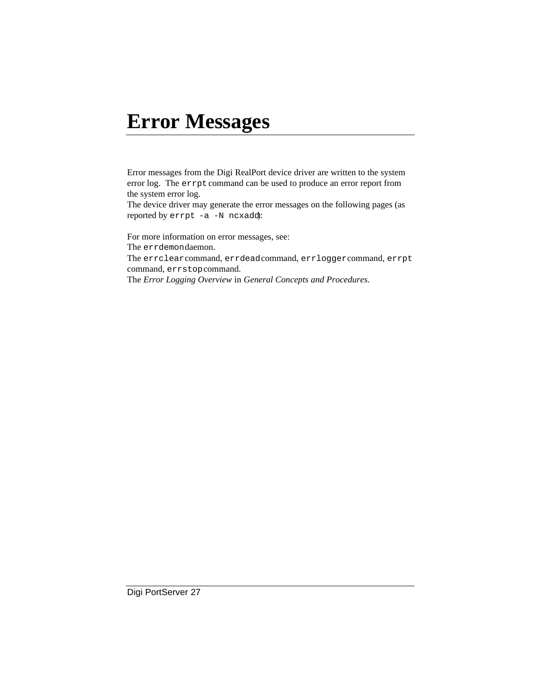# **Error Messages**

Error messages from the Digi RealPort device driver are written to the system error log. The errpt command can be used to produce an error report from the system error log.

The device driver may generate the error messages on the following pages (as reported by errpt -a -N ncxadd):

For more information on error messages, see: The errdemondaemon. The errclear command, errdead command, errlogger command, errpt command, errstop command. The *Error Logging Overview* in *General Concepts and Procedures*.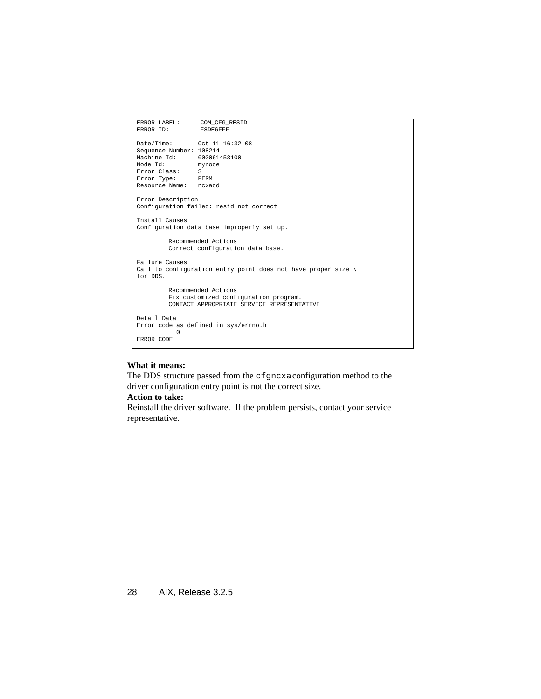```
ERROR LABEL: COM_CFG_RESID<br>ERROR ID: F8DE6FFF
ERROR ID:
Date/Time: Oct 11 16:32:08
Sequence Number: 108214
Machine Id: 000061453100<br>Node Id: mynode
Node Id:
Error Class: S<br>Error Type: PERM
Error Type: PERM
Resource Name: ncxadd
Error Description
Configuration failed: resid not correct
Install Causes
Configuration data base improperly set up.
         Recommended Actions
         Correct configuration data base.
Failure Causes
Call to configuration entry point does not have proper size \setminusfor DDS.
         Recommended Actions
         Fix customized configuration program.
         CONTACT APPROPRIATE SERVICE REPRESENTATIVE
Detail Data
Error code as defined in sys/errno.h
             0
ERROR CODE
```
The DDS structure passed from the cfgncxa configuration method to the driver configuration entry point is not the correct size.

#### **Action to take:**

Reinstall the driver software. If the problem persists, contact your service representative.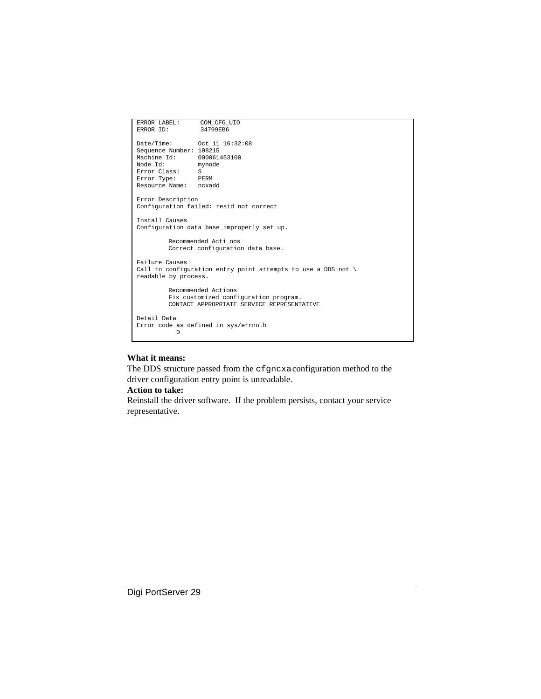```
ERROR LABEL: COM_CFG_UIO<br>ERROR ID: 34799EB6
ERROR ID:
Date/Time: Oct 11 16:32:08
Sequence Number: 108215
Machine Id: 000061453100<br>Node Id: mynode
Node Id: mynde Id: Mode Id: Mode Id: Mode Id: Mode I SI
Error Class:
Error Type: PERM
Resource Name: ncxadd
Error Description
Configuration failed: resid not correct
Install Causes
Configuration data base improperly set up.
          Recommended Acti ons
          Correct configuration data base.
Failure Causes
Call to configuration entry point attempts to use a DDS not \setminusreadable by process.
          Recommended Actions
          Fix customized configuration program.
          CONTACT APPROPRIATE SERVICE REPRESENTATIVE
Detail Data
Error code as defined in sys/errno.h
             0
```
The DDS structure passed from the cfgncxa configuration method to the driver configuration entry point is unreadable.

#### **Action to take:**

Reinstall the driver software. If the problem persists, contact your service representative.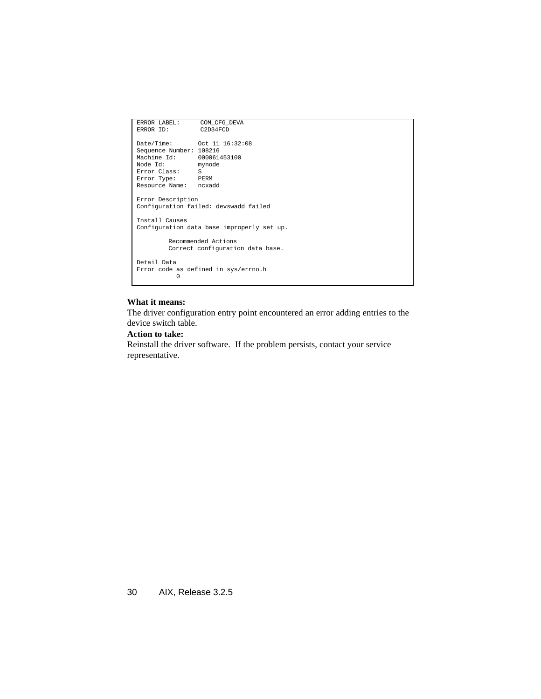```
ERROR LABEL: COM_CFG_DEVA<br>ERROR ID: C2D34FCD
ERROR ID:
Date/Time: Oct 11 16:32:08
Sequence Number: 108216
Machine Id: 000061453100<br>Node Id: mynode
Node Id:
Error Class: S
Error Type: PERM
Resource Name: ncxadd
Error Description
Configuration failed: devswadd failed
Install Causes
Configuration data base improperly set up.
         Recommended Actions
         Correct configuration data base.
Detail Data
Error code as defined in sys/errno.h
 0
```
The driver configuration entry point encountered an error adding entries to the device switch table.

#### **Action to take:**

Reinstall the driver software. If the problem persists, contact your service representative.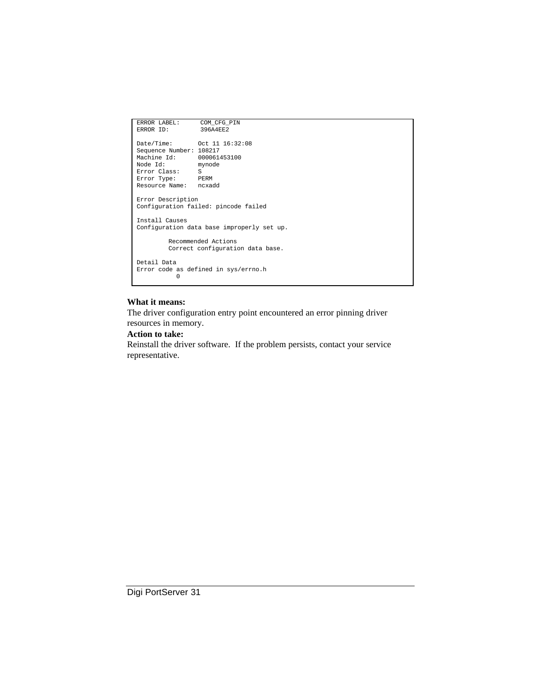```
ERROR LABEL: COM_CFG_PIN<br>ERROR ID: 396A4EE2
ERROR ID:
Date/Time: Oct 11 16:32:08
Sequence Number: 108217
Machine Id: 000061453100<br>Node Id: mynode<br>Error Class: S
Node Id:
Error Class:
Error Type: PERM
Resource Name: ncxadd
Error Description
Configuration failed: pincode failed
Install Causes
Configuration data base improperly set up.
          Recommended Actions
          Correct configuration data base.
Detail Data
Error code as defined in sys/errno.h
 0
```
The driver configuration entry point encountered an error pinning driver resources in memory.

#### **Action to take:**

Reinstall the driver software. If the problem persists, contact your service representative.

Digi PortServer 31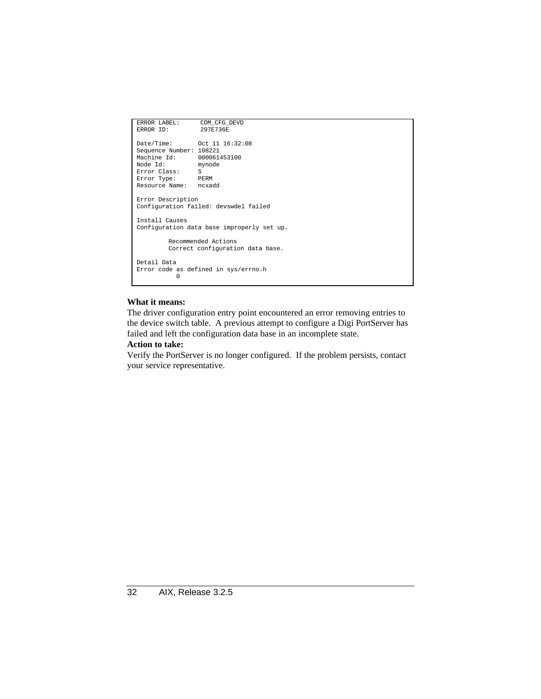```
ERROR LABEL: COM_CFG_DEVD<br>ERROR ID: 297E736E
ERROR ID:
Date/Time: Oct 11 16:32:08
Sequence Number: 108221
Machine Id: 000061453100<br>Node Id: mynode
Node Id:
Error Class: S<br>Error Type: PERM
Error Type: PERM
Resource Name: ncxadd
Error Description
Configuration failed: devswdel failed
Install Causes
Configuration data base improperly set up.
          Recommended Actions
          Correct configuration data base.
Detail Data
Error code as defined in sys/errno.h
 0
```
The driver configuration entry point encountered an error removing entries to the device switch table. A previous attempt to configure a Digi PortServer has failed and left the configuration data base in an incomplete state.

#### **Action to take:**

Verify the PortServer is no longer configured. If the problem persists, contact your service representative.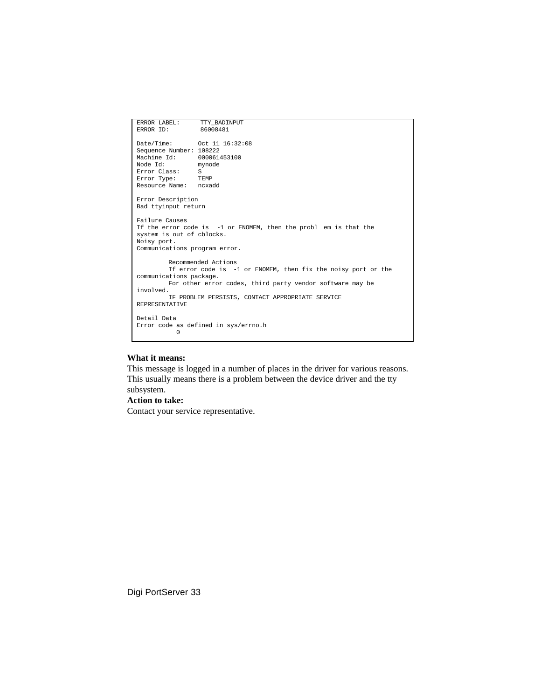```
ERROR LABEL: TTY_BADINPUT<br>ERROR ID: 86008481
ERROR ID:
Date/Time: Oct 11 16:32:08
Sequence Number: 108222
Machine Id: 000061453100<br>Node Id: mynode
Node Id:
Error Class: S<br>Error Type: TEMP
Error Type:
Resource Name: ncxadd
Error Description
Bad ttyinput return
Failure Causes
If the error code is -1 or ENOMEM, then the probl em is that the
system is out of cblocks.
Noisy port.
Communications program error.
         Recommended Actions
         If error code is -1 or ENOMEM, then fix the noisy port or the
communications package.
         For other error codes, third party vendor software may be
involved.
         IF PROBLEM PERSISTS, CONTACT APPROPRIATE SERVICE
REPRESENTATIVE
Detail Data
Error code as defined in sys/errno.h
            0
```
This message is logged in a number of places in the driver for various reasons. This usually means there is a problem between the device driver and the tty subsystem.

#### **Action to take:**

Contact your service representative.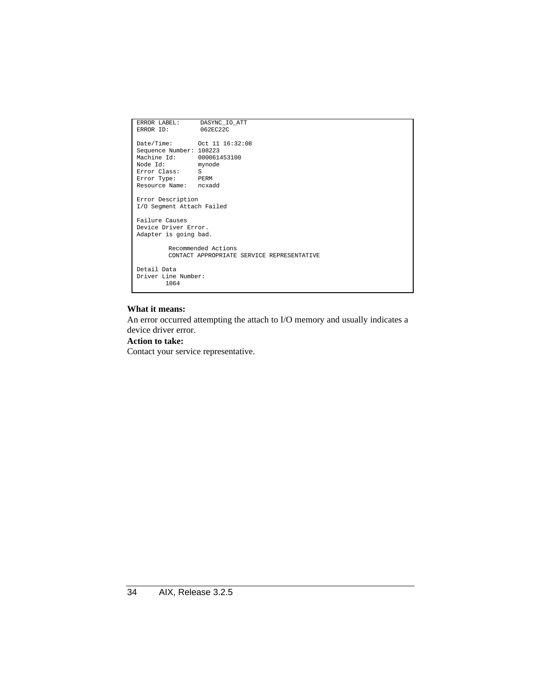```
ERROR LABEL: DASYNC_IO_ATT<br>ERROR ID: 062EC22C
ERROR ID:Date/Time: Oct 11 16:32:08
Sequence Number: 108223
Machine Id: 000061453100
 Node Id: mynode
Error Class: S
Error Type: PERM
Resource Name: ncxadd
Error Description
I/O Segment Attach Failed
Failure Causes
Device Driver Error.
Adapter is going bad.
          Recommended Actions
          CONTACT APPROPRIATE SERVICE REPRESENTATIVE
Detail Data
Driver Line Number:
           1064
```
An error occurred attempting the attach to I/O memory and usually indicates a device driver error.

#### **Action to take:**

Contact your service representative.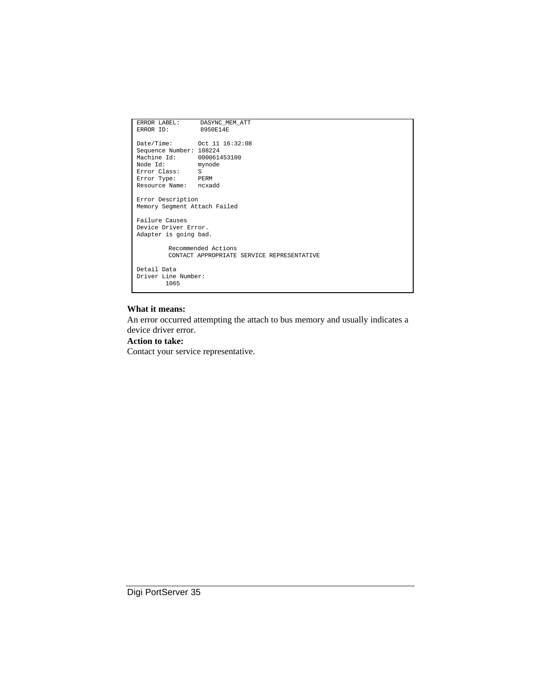| ERROR LABEL:                 | DASYNC MEM ATT                             |
|------------------------------|--------------------------------------------|
| ERROR TD:                    | 8950E14E                                   |
|                              |                                            |
|                              |                                            |
| Sequence Number: 108224      |                                            |
| Machine Id: 000061453100     |                                            |
| Node Id: mynode              |                                            |
| Error Class: S               |                                            |
| Error Type: PERM             |                                            |
| Resource Name: ncxadd        |                                            |
| Error Description            |                                            |
| Memory Segment Attach Failed |                                            |
|                              |                                            |
| Failure Causes               |                                            |
| Device Driver Error.         |                                            |
| Adapter is going bad.        |                                            |
|                              |                                            |
|                              | Recommended Actions                        |
|                              | CONTACT APPROPRIATE SERVICE REPRESENTATIVE |
|                              |                                            |
| Detail Data                  |                                            |
| Driver Line Number:          |                                            |
| 1065                         |                                            |
|                              |                                            |

An error occurred attempting the attach to bus memory and usually indicates a device driver error.

#### **Action to take:**

Contact your service representative.

Digi PortServer 35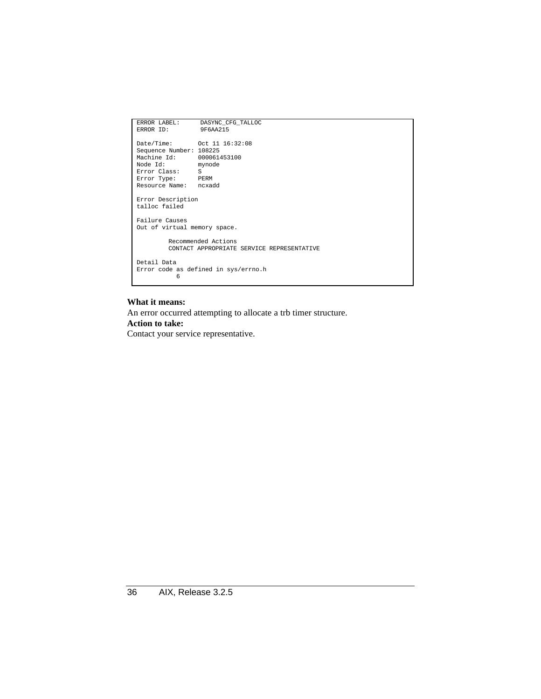```
ERROR LABEL: DASYNC_CFG_TALLOC<br>ERROR ID: 9F6AA215
ERROR ID:
 Date/Time: Oct 11 16:32:08
Sequence Number: 108225
Machine Id: 000061453100<br>Node Id: mynode
Node Id:
Error Class: S
 Error Type: PERM
Resource Name: ncxadd
Error Description
talloc failed
Failure Causes
Out of virtual memory space.
            Recommended Actions
CONTACT APPROPRIATE SERVICE REPRESENTATIVE
Detail Data
 Error code as defined in sys/errno.h
 6
```
An error occurred attempting to allocate a trb timer structure.

#### **Action to take:**

Contact your service representative.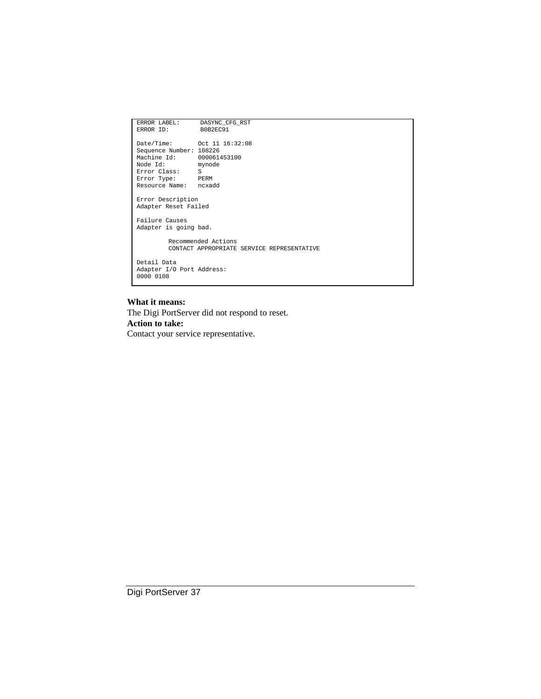```
ERROR LABEL: DASYNC_CFG_RST<br>ERROR ID: B0B2EC91
ERROR ID:
 Date/Time: Oct 11 16:32:08
Sequence Number: 108226
Machine Id: 000061453100
 Node Id: mynode
Error Class: S
Error Type: PERM
Resource Name: ncxadd
Error Description
Adapter Reset Failed
Failure Causes
Adapter is going bad.
             Recommended Actions
CONTACT APPROPRIATE SERVICE REPRESENTATIVE
Detail Data
 Adapter I/O Port Address:
0000 0108
```
The Digi PortServer did not respond to reset. **Action to take:** Contact your service representative.

Digi PortServer 37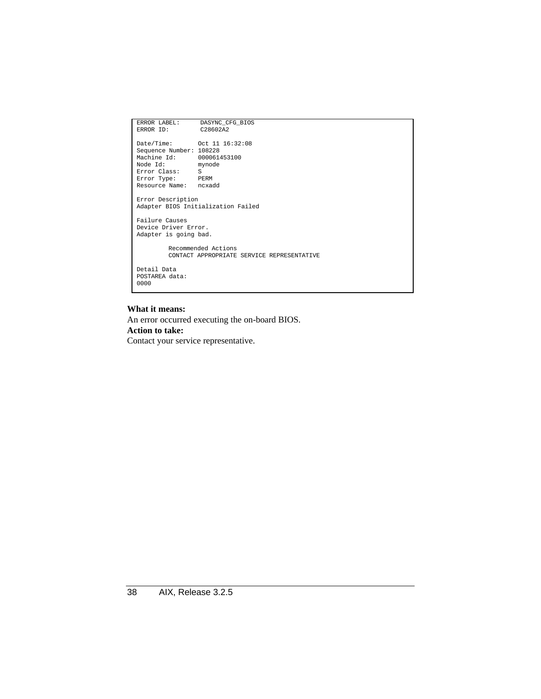| ERROR LABEL:             | DASYNC CFG BIOS                            |
|--------------------------|--------------------------------------------|
| ERROR ID:                | C28602A2                                   |
|                          |                                            |
|                          |                                            |
| Sequence Number: 108228  |                                            |
| Machine Id: 000061453100 |                                            |
| Node Id: mynode          |                                            |
| Error Class: S           |                                            |
| Error Type: PERM         |                                            |
| Resource Name: ncxadd    |                                            |
|                          |                                            |
| Error Description        |                                            |
|                          | Adapter BIOS Initialization Failed         |
| Failure Causes           |                                            |
| Device Driver Error.     |                                            |
|                          |                                            |
| Adapter is going bad.    |                                            |
|                          | Recommended Actions                        |
|                          | CONTACT APPROPRIATE SERVICE REPRESENTATIVE |
|                          |                                            |
| Detail Data              |                                            |
| POSTAREA data:           |                                            |
| 0000                     |                                            |
|                          |                                            |
|                          |                                            |

An error occurred executing the on-board BIOS.

#### **Action to take:**

Contact your service representative.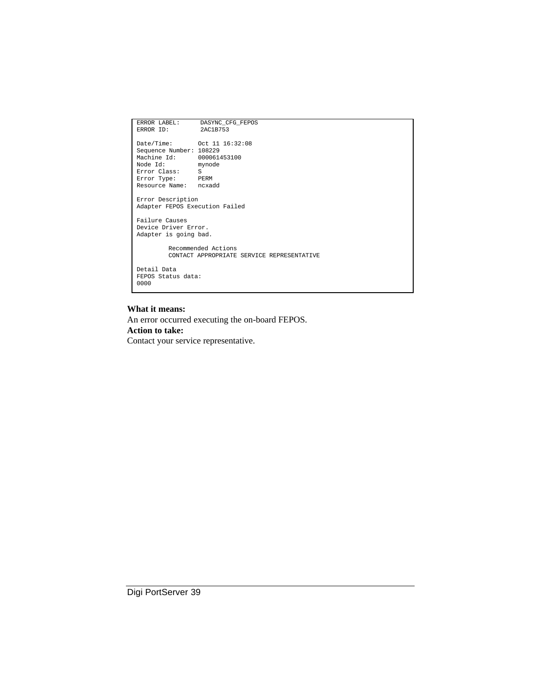| ERROR LABEL:                      | DASYNC CFG FEPOS                           |
|-----------------------------------|--------------------------------------------|
| ERROR TD:                         | 2AC1B753                                   |
|                                   |                                            |
|                                   |                                            |
| Sequence Number: 108229           |                                            |
| Machine Id: 000061453100          |                                            |
| Node Id: mynode<br>Error Class: S |                                            |
| Error Type: PERM                  |                                            |
| Resource Name: ncxadd             |                                            |
|                                   |                                            |
| Error Description                 |                                            |
| Adapter FEPOS Execution Failed    |                                            |
|                                   |                                            |
| Failure Causes                    |                                            |
| Device Driver Error.              |                                            |
| Adapter is going bad.             |                                            |
|                                   |                                            |
|                                   | Recommended Actions                        |
|                                   | CONTACT APPROPRIATE SERVICE REPRESENTATIVE |
| Detail Data                       |                                            |
| FEPOS Status data:                |                                            |
| 0000                              |                                            |
|                                   |                                            |
|                                   |                                            |

An error occurred executing the on-board FEPOS.

#### **Action to take:**

Contact your service representative.

Digi PortServer 39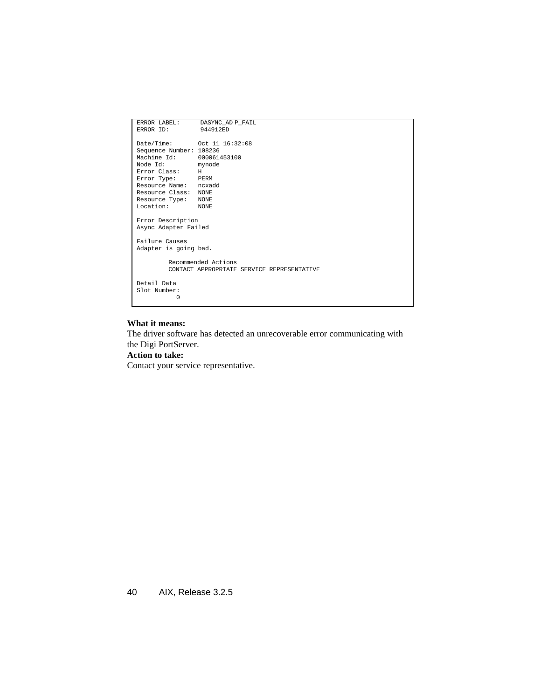| ERROR LABEL:               | DASYNC AD P FAIL                           |
|----------------------------|--------------------------------------------|
| ERROR ID:                  | 944912ED                                   |
| Date/Time: 0ct 11 16:32:08 |                                            |
| Sequence Number: 108236    |                                            |
| Machine Id:                | 000061453100                               |
| Node Id:                   | mynode                                     |
| Error Class: H             |                                            |
| Error Type: PERM           |                                            |
| Resource Name: noxadd      |                                            |
| Resource Class: NONE       |                                            |
| Resource Type: NONE        |                                            |
| Location: NONE             |                                            |
|                            |                                            |
| Error Description          |                                            |
| Async Adapter Failed       |                                            |
| Failure Causes             |                                            |
| Adapter is going bad.      |                                            |
|                            |                                            |
|                            | Recommended Actions                        |
|                            | CONTACT APPROPRIATE SERVICE REPRESENTATIVE |
|                            |                                            |
| Detail Data                |                                            |
| Slot Number:               |                                            |
| U                          |                                            |
|                            |                                            |

The driver software has detected an unrecoverable error communicating with the Digi PortServer.

#### **Action to take:**

Contact your service representative.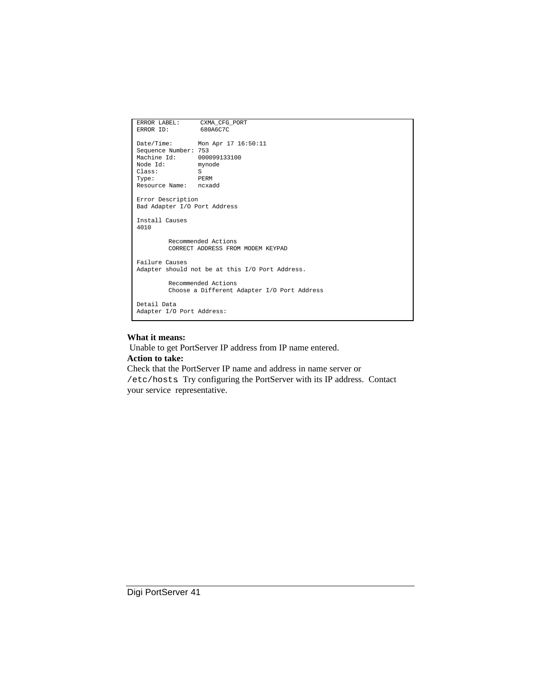```
ERROR LABEL: CXMA_CFG_PORT<br>ERROR ID: 680A6C7C
                  680A6C7C
Date/Time: Mon Apr 17 16:50:11
Sequence Number: 753
Machine Id: 000099133100<br>Node Id: mynode
Node Id:
Class: S<br>Type: PERM
Type:Resource Name: ncxadd
Error Description
Bad Adapter I/O Port Address
Install Causes
4010
         Recommended Actions
         CORRECT ADDRESS FROM MODEM KEYPAD
Failure Causes
Adapter should not be at this I/O Port Address.
         Recommended Actions
         Choose a Different Adapter I/O Port Address
Detail Data
Adapter I/O Port Address:
```
 Unable to get PortServer IP address from IP name entered. **Action to take:**

Check that the PortServer IP name and address in name server or /etc/hosts. Try configuring the PortServer with its IP address. Contact your service representative.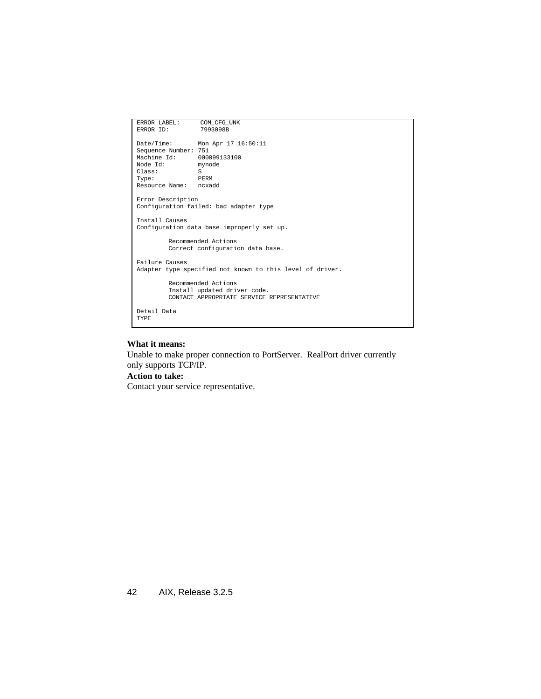```
ERROR LABEL: COM_CFG_UNK<br>ERROR ID: 7993098B
ERROR ID:
Date/Time: Mon Apr 17 16:50:11
Sequence Number: 751
Machine Id: 000099133100<br>Node Id: mynode
Node Id:
Class: S<br>Type: PERM
Type:Resource Name: ncxadd
Error Description
Configuration failed: bad adapter type
Install Causes
Configuration data base improperly set up.
         Recommended Actions
         Correct configuration data base.
Failure Causes
Adapter type specified not known to this level of driver.
         Recommended Actions
          Install updated driver code.
CONTACT APPROPRIATE SERVICE REPRESENTATIVE
Detail Data
TYPE
```
Unable to make proper connection to PortServer. RealPort driver currently only supports TCP/IP.

#### **Action to take:**

Contact your service representative.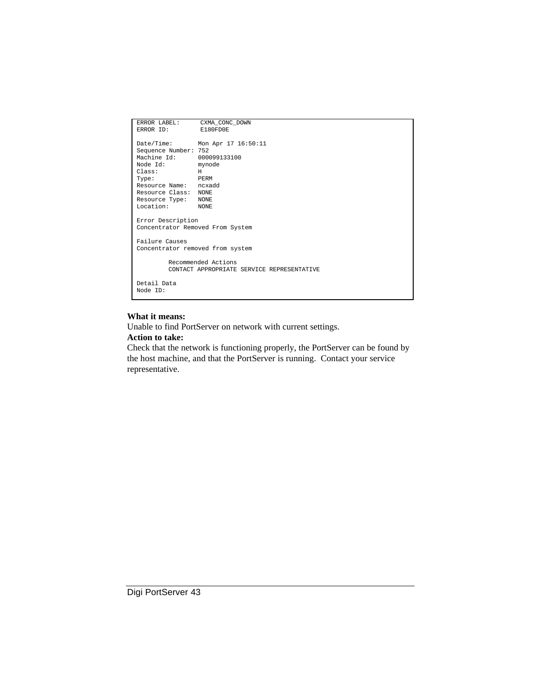| ERROR LABEL:                     | CXMA CONC DOWN                             |
|----------------------------------|--------------------------------------------|
| ERROR ID:                        | E180FD0E                                   |
|                                  |                                            |
|                                  | Date/Time: Mon Apr 17 16:50:11             |
| Sequence Number: 752             |                                            |
| Machine Id:                      | 000099133100                               |
| Node Id: mynode                  |                                            |
| Class:                           | H                                          |
| <b>EXAMPLE PERM</b><br>Type:     |                                            |
| Resource Name: ncxadd            |                                            |
| Resource Class: NONE             |                                            |
| Resource Type: NONE              |                                            |
| Location: NONE                   |                                            |
|                                  |                                            |
| Error Description                |                                            |
| Concentrator Removed From System |                                            |
|                                  |                                            |
| Failure Causes                   |                                            |
| Concentrator removed from system |                                            |
|                                  | Recommended Actions                        |
|                                  | CONTACT APPROPRIATE SERVICE REPRESENTATIVE |
|                                  |                                            |
| Detail Data                      |                                            |
| Node TD:                         |                                            |
|                                  |                                            |

Unable to find PortServer on network with current settings.

#### **Action to take:**

Check that the network is functioning properly, the PortServer can be found by the host machine, and that the PortServer is running. Contact your service representative.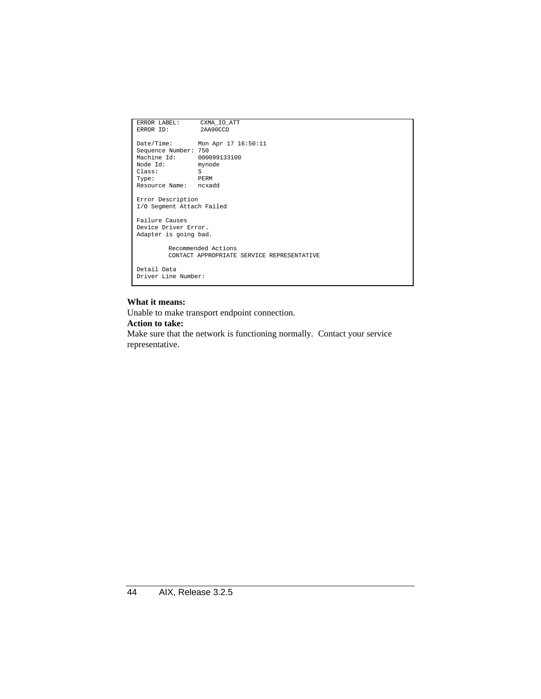```
ERROR LABEL: CXMA_IO_ATT<br>ERROR ID: 2AA90CCD
ERROR ID:
Date/Time: Mon Apr 17 16:50:11
Sequence Number: 750
Machine Id: 000099133100<br>Node Id: mynode
Node Id:
Class: S<br>Type: PERM
Type:Resource Name: ncxadd
Error Description
I/O Segment Attach Failed
Failure Causes
Device Driver Error.
Adapter is going bad.
          Recommended Actions
         CONTACT APPROPRIATE SERVICE REPRESENTATIVE
Detail Data
Driver Line Number:
```
Unable to make transport endpoint connection.

#### **Action to take:**

Make sure that the network is functioning normally. Contact your service representative.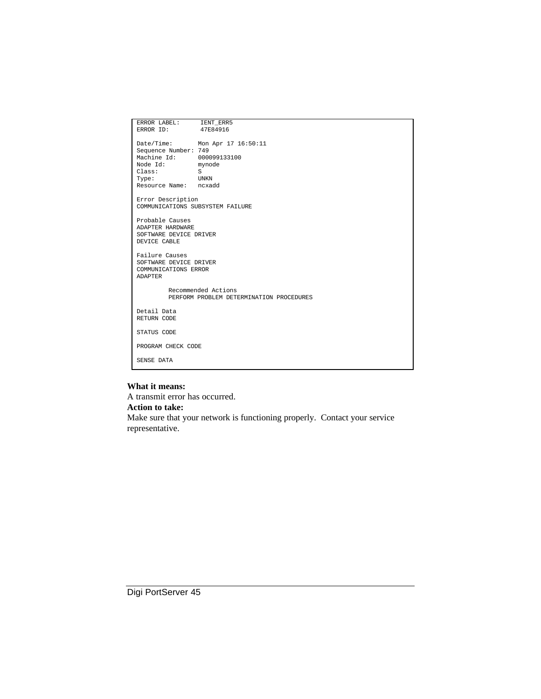| ERROR LABEL: IENT_ERR5                 |                                          |
|----------------------------------------|------------------------------------------|
| ERROR ID: 47E84916                     |                                          |
|                                        |                                          |
|                                        | Date/Time: Mon Apr 17 16:50:11           |
| Sequence Number: 749                   |                                          |
| Machine Id: 000099133100               |                                          |
| Node Id: mynode                        |                                          |
| Class:                                 | S                                        |
| <b>UNKN</b><br>Type:                   |                                          |
| Resource Name: ncxadd                  |                                          |
|                                        |                                          |
| Error Description                      |                                          |
|                                        | COMMUNICATIONS SUBSYSTEM FAILURE         |
|                                        |                                          |
| Probable Causes                        |                                          |
| ADAPTER HARDWARE                       |                                          |
| SOFTWARE DEVICE DRIVER                 |                                          |
| DEVICE CABLE                           |                                          |
|                                        |                                          |
| Failure Causes                         |                                          |
| SOFTWARE DEVICE DRIVER                 |                                          |
| COMMUNICATIONS ERROR<br><b>ADAPTER</b> |                                          |
|                                        |                                          |
|                                        | Recommended Actions                      |
|                                        | PERFORM PROBLEM DETERMINATION PROCEDURES |
|                                        |                                          |
| Detail Data                            |                                          |
| RETURN CODE                            |                                          |
|                                        |                                          |
| STATUS CODE                            |                                          |
|                                        |                                          |
| PROGRAM CHECK CODE                     |                                          |
|                                        |                                          |
| SENSE DATA                             |                                          |
|                                        |                                          |

A transmit error has occurred.

#### **Action to take:**

Make sure that your network is functioning properly. Contact your service representative.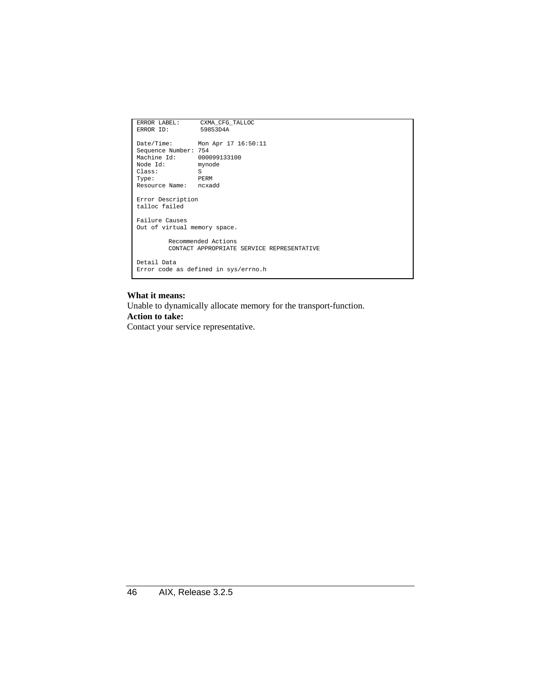```
ERROR LABEL: CXMA_CFG_TALLOC<br>ERROR ID: 59853D4A
ERROR ID:
Date/Time: Mon Apr 17 16:50:11
Sequence Number: 754
Machine Id: 000099133100<br>Node Id: mynode
Node Id:
Class: S<br>Type: PERM
Type: PERM
Resource Name: ncxadd
Error Description
talloc failed
Failure Causes
Out of virtual memory space.
           Recommended Actions
CONTACT APPROPRIATE SERVICE REPRESENTATIVE
Detail Data
Error code as defined in sys/errno.h
```
Unable to dynamically allocate memory for the transport-function.

#### **Action to take:**

Contact your service representative.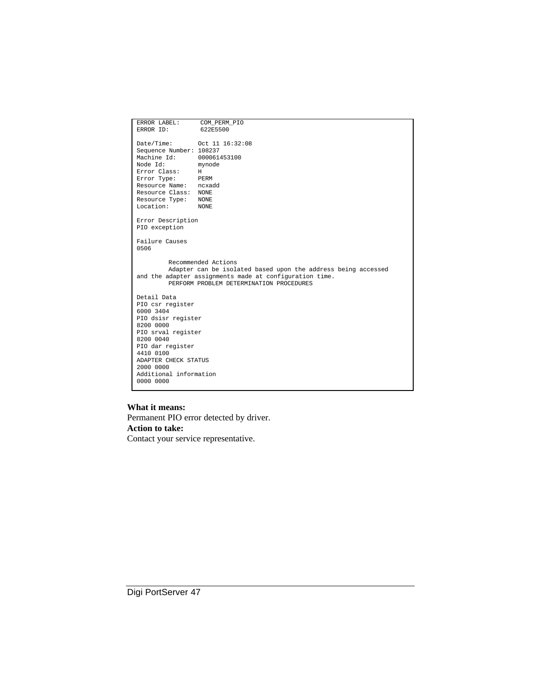| ERROR LABEL:                                                                                        | COM_PERM_PIO                                                  |
|-----------------------------------------------------------------------------------------------------|---------------------------------------------------------------|
| ERROR ID:                                                                                           | 622E5500                                                      |
|                                                                                                     |                                                               |
|                                                                                                     |                                                               |
| Sequence Number: 108237                                                                             |                                                               |
| Machine Id:                                                                                         | 000061453100                                                  |
| Node Td:<br>Error Class: H                                                                          | mynode                                                        |
| Error Type:                                                                                         | PERM                                                          |
| Resource Name: ncxadd                                                                               |                                                               |
| Resource Class: NONE                                                                                |                                                               |
| Resource Type: NONE                                                                                 |                                                               |
| Location:                                                                                           | <b>NONE</b>                                                   |
| Error Description                                                                                   |                                                               |
| PIO exception                                                                                       |                                                               |
|                                                                                                     |                                                               |
| Failure Causes<br>0506                                                                              |                                                               |
|                                                                                                     |                                                               |
|                                                                                                     | Recommended Actions                                           |
|                                                                                                     | Adapter can be isolated based upon the address being accessed |
| and the adapter assignments made at configuration time.<br>PERFORM PROBLEM DETERMINATION PROCEDURES |                                                               |
|                                                                                                     |                                                               |
| Detail Data                                                                                         |                                                               |
| PIO csr register                                                                                    |                                                               |
| 6000 3404<br>PIO dsisr register                                                                     |                                                               |
| 8200 0000                                                                                           |                                                               |
| PIO srval register                                                                                  |                                                               |
| 8200 0040                                                                                           |                                                               |
| PIO dar register                                                                                    |                                                               |
| 4410 0100                                                                                           |                                                               |
| ADAPTER CHECK STATUS<br>2000 0000                                                                   |                                                               |
| Additional information                                                                              |                                                               |
| 0000 0000                                                                                           |                                                               |
|                                                                                                     |                                                               |

Permanent PIO error detected by driver. **Action to take:** Contact your service representative.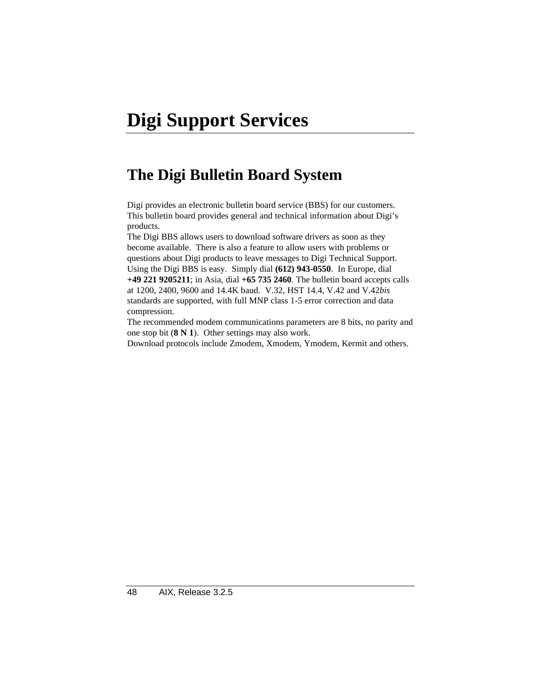# **Digi Support Services**

# **The Digi Bulletin Board System**

Digi provides an electronic bulletin board service (BBS) for our customers. This bulletin board provides general and technical information about Digi's products.

The Digi BBS allows users to download software drivers as soon as they become available. There is also a feature to allow users with problems or questions about Digi products to leave messages to Digi Technical Support. Using the Digi BBS is easy. Simply dial **(612) 943-0550**. In Europe, dial **+49 221 9205211**; in Asia, dial **+65 735 2460**. The bulletin board accepts calls at 1200, 2400, 9600 and 14.4K baud. V.32, HST 14.4, V.42 and V.42*bis* standards are supported, with full MNP class 1-5 error correction and data compression.

The recommended modem communications parameters are 8 bits, no parity and one stop bit (**8 N 1**). Other settings may also work.

Download protocols include Zmodem, Xmodem, Ymodem, Kermit and others.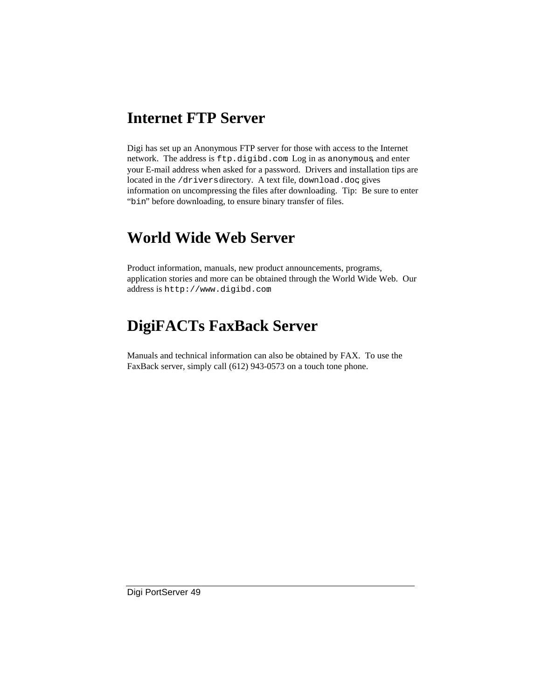### **Internet FTP Server**

Digi has set up an Anonymous FTP server for those with access to the Internet network. The address is ftp.digibd.com. Log in as anonymous, and enter your E-mail address when asked for a password. Drivers and installation tips are located in the /drivers directory. A text file, download.doc gives information on uncompressing the files after downloading. Tip: Be sure to enter "bin" before downloading, to ensure binary transfer of files.

# **World Wide Web Server**

Product information, manuals, new product announcements, programs, application stories and more can be obtained through the World Wide Web. Our address is http://www.digibd.com.

# **DigiFACTs FaxBack Server**

Manuals and technical information can also be obtained by FAX. To use the FaxBack server, simply call (612) 943-0573 on a touch tone phone.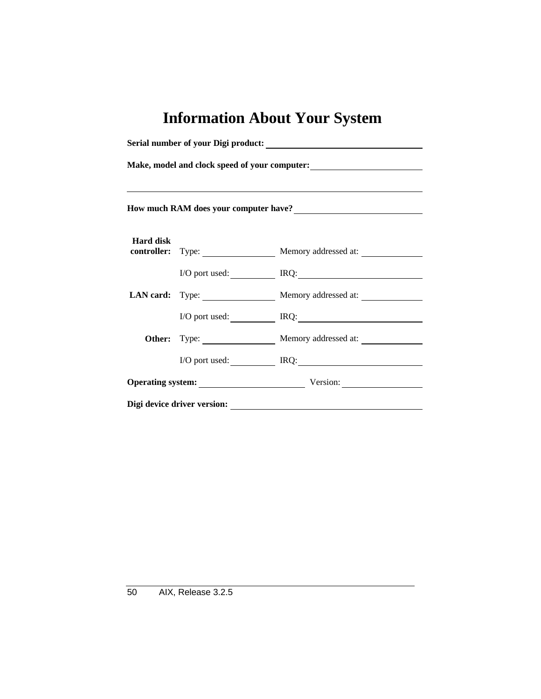# **Information About Your System**

|                                                                                                                                                                                                                                        | ,我们也不会有什么。""我们的人,我们也不会有什么?""我们的人,我们也不会有什么?""我们的人,我们也不会有什么?""我们的人,我们也不会有什么?""我们的人 |                                        |  |  |
|----------------------------------------------------------------------------------------------------------------------------------------------------------------------------------------------------------------------------------------|----------------------------------------------------------------------------------|----------------------------------------|--|--|
| How much RAM does your computer have?<br><u>Letting and the set of the set of the set of the set of the set of the set of the set of the set of the set of the set of the set of the set of the set of the set of the set of the s</u> |                                                                                  |                                        |  |  |
| <b>Hard disk</b>                                                                                                                                                                                                                       |                                                                                  |                                        |  |  |
|                                                                                                                                                                                                                                        |                                                                                  | controller: Type: Memory addressed at: |  |  |
|                                                                                                                                                                                                                                        |                                                                                  | I/O port used: IRQ: IRQ:               |  |  |
|                                                                                                                                                                                                                                        |                                                                                  | LAN card: Type: Memory addressed at:   |  |  |
|                                                                                                                                                                                                                                        |                                                                                  | I/O port used: IRQ: IRQ:               |  |  |
|                                                                                                                                                                                                                                        |                                                                                  | Other: Type: Memory addressed at:      |  |  |
|                                                                                                                                                                                                                                        |                                                                                  | I/O port used: IRQ: IRQ:               |  |  |
|                                                                                                                                                                                                                                        |                                                                                  | Operating system: Version:             |  |  |
| Digi device driver version:                                                                                                                                                                                                            |                                                                                  |                                        |  |  |